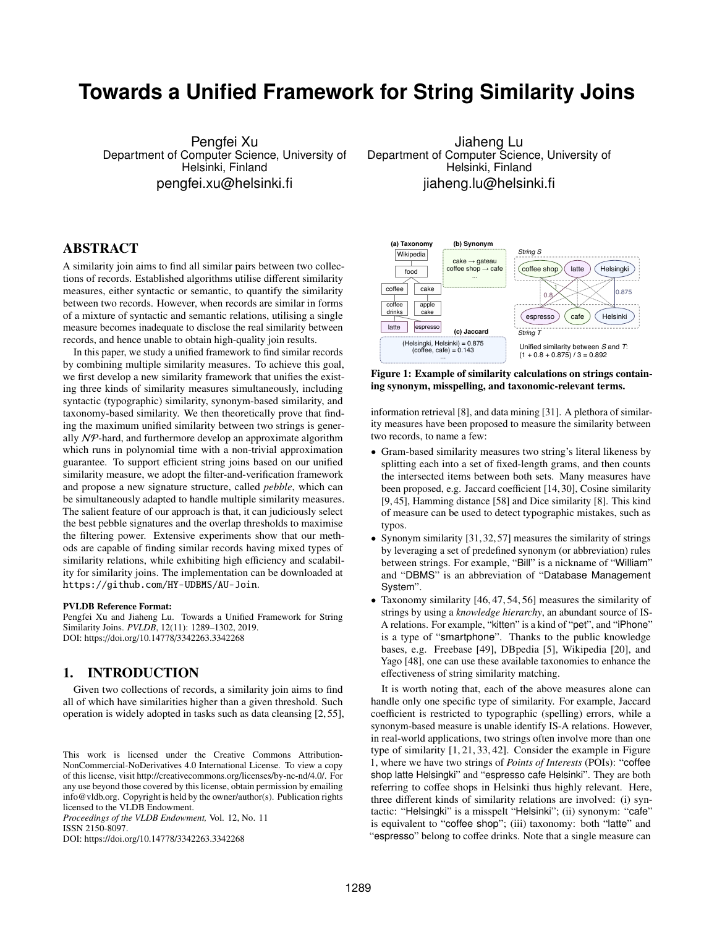# **Towards a Unified Framework for String Similarity Joins**

Pengfei Xu Department of Computer Science, University of Helsinki, Finland pengfei.xu@helsinki.fi

## ABSTRACT

A similarity join aims to find all similar pairs between two collections of records. Established algorithms utilise different similarity measures, either syntactic or semantic, to quantify the similarity between two records. However, when records are similar in forms of a mixture of syntactic and semantic relations, utilising a single measure becomes inadequate to disclose the real similarity between records, and hence unable to obtain high-quality join results.

In this paper, we study a unified framework to find similar records by combining multiple similarity measures. To achieve this goal, we first develop a new similarity framework that unifies the existing three kinds of similarity measures simultaneously, including syntactic (typographic) similarity, synonym-based similarity, and taxonomy-based similarity. We then theoretically prove that finding the maximum unified similarity between two strings is generally NP-hard, and furthermore develop an approximate algorithm which runs in polynomial time with a non-trivial approximation guarantee. To support efficient string joins based on our unified similarity measure, we adopt the filter-and-verification framework and propose a new signature structure, called *pebble*, which can be simultaneously adapted to handle multiple similarity measures. The salient feature of our approach is that, it can judiciously select the best pebble signatures and the overlap thresholds to maximise the filtering power. Extensive experiments show that our methods are capable of finding similar records having mixed types of similarity relations, while exhibiting high efficiency and scalability for similarity joins. The implementation can be downloaded at <https://github.com/HY-UDBMS/AU-Join>.

#### PVLDB Reference Format:

Pengfei Xu and Jiaheng Lu. Towards a Unified Framework for String Similarity Joins. *PVLDB*, 12(11): 1289–1302, 2019. DOI: https://doi.org/10.14778/3342263.3342268

## <span id="page-0-1"></span>1. INTRODUCTION

Given two collections of records, a similarity join aims to find all of which have similarities higher than a given threshold. Such operation is widely adopted in tasks such as data cleansing [\[2,](#page-12-0) [55\]](#page-13-0),

*Proceedings of the VLDB Endowment,* Vol. 12, No. 11 ISSN 2150-8097.

DOI: https://doi.org/10.14778/3342263.3342268

Jiaheng Lu Department of Computer Science, University of Helsinki, Finland jiaheng.lu@helsinki.fi

<span id="page-0-0"></span>

Figure 1: Example of similarity calculations on strings containing synonym, misspelling, and taxonomic-relevant terms.

information retrieval [\[8\]](#page-12-1), and data mining [\[31\]](#page-12-2). A plethora of similarity measures have been proposed to measure the similarity between two records, to name a few:

- Gram-based similarity measures two string's literal likeness by splitting each into a set of fixed-length grams, and then counts the intersected items between both sets. Many measures have been proposed, e.g. Jaccard coefficient [\[14,](#page-12-3) [30\]](#page-12-4), Cosine similarity [\[9,](#page-12-5) [45\]](#page-13-1), Hamming distance [\[58\]](#page-13-2) and Dice similarity [\[8\]](#page-12-1). This kind of measure can be used to detect typographic mistakes, such as typos.
- Synonym similarity [\[31,](#page-12-2) [32,](#page-12-6) [57\]](#page-13-3) measures the similarity of strings by leveraging a set of predefined synonym (or abbreviation) rules between strings. For example, "Bill" is a nickname of "William" and "DBMS" is an abbreviation of "Database Management System".
- Taxonomy similarity [\[46,](#page-13-4) [47,](#page-13-5) [54,](#page-13-6) [56\]](#page-13-7) measures the similarity of strings by using a *knowledge hierarchy*, an abundant source of IS-A relations. For example, "kitten" is a kind of "pet", and "iPhone" is a type of "smartphone". Thanks to the public knowledge bases, e.g. Freebase [\[49\]](#page-13-8), DBpedia [\[5\]](#page-12-7), Wikipedia [\[20\]](#page-12-8), and Yago [\[48\]](#page-13-9), one can use these available taxonomies to enhance the effectiveness of string similarity matching.

It is worth noting that, each of the above measures alone can handle only one specific type of similarity. For example, Jaccard coefficient is restricted to typographic (spelling) errors, while a synonym-based measure is unable identify IS-A relations. However, in real-world applications, two strings often involve more than one type of similarity [\[1,](#page-12-9) [21,](#page-12-10) [33,](#page-12-11) [42\]](#page-12-12). Consider the example in Figure [1,](#page-0-0) where we have two strings of *Points of Interests* (POIs): "coffee shop latte Helsingki" and "espresso cafe Helsinki". They are both referring to coffee shops in Helsinki thus highly relevant. Here, three different kinds of similarity relations are involved: (i) syntactic: "Helsingki" is a misspelt "Helsinki"; (ii) synonym: "cafe" is equivalent to "coffee shop"; (iii) taxonomy: both "latte" and "espresso" belong to coffee drinks. Note that a single measure can

This work is licensed under the Creative Commons Attribution-NonCommercial-NoDerivatives 4.0 International License. To view a copy of this license, visit http://creativecommons.org/licenses/by-nc-nd/4.0/. For any use beyond those covered by this license, obtain permission by emailing info@vldb.org. Copyright is held by the owner/author(s). Publication rights licensed to the VLDB Endowment.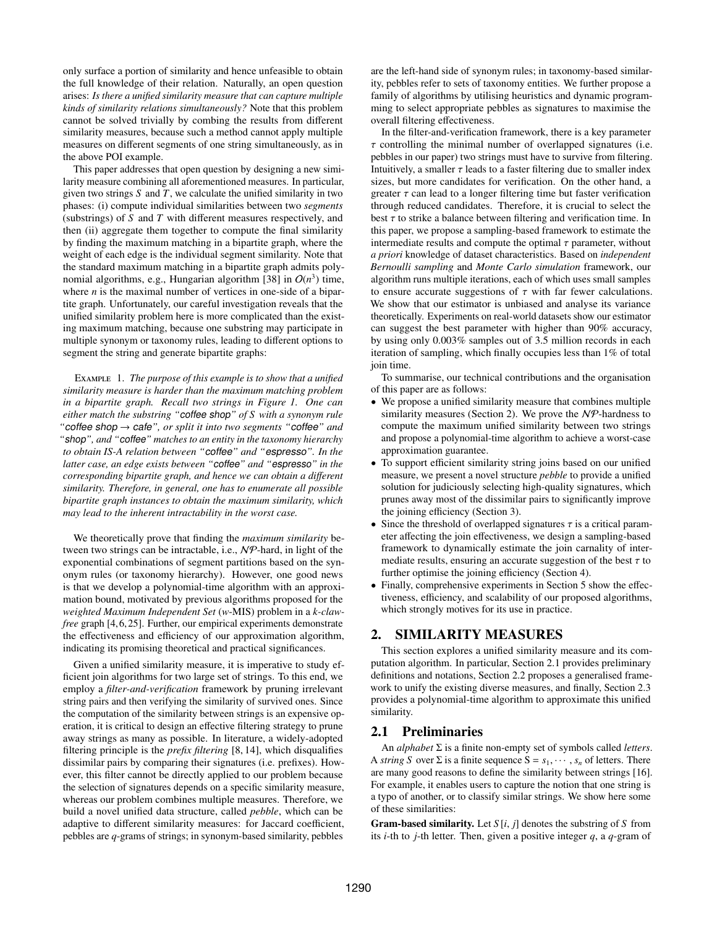only surface a portion of similarity and hence unfeasible to obtain the full knowledge of their relation. Naturally, an open question arises: *Is there a unified similarity measure that can capture multiple kinds of similarity relations simultaneously?* Note that this problem cannot be solved trivially by combing the results from different similarity measures, because such a method cannot apply multiple measures on different segments of one string simultaneously, as in the above POI example.

This paper addresses that open question by designing a new similarity measure combining all aforementioned measures. In particular, given two strings *S* and *T*, we calculate the unified similarity in two phases: (i) compute individual similarities between two *segments* (substrings) of *S* and *T* with different measures respectively, and then (ii) aggregate them together to compute the final similarity by finding the maximum matching in a bipartite graph, where the weight of each edge is the individual segment similarity. Note that the standard maximum matching in a bipartite graph admits poly-nomial algorithms, e.g., Hungarian algorithm [\[38\]](#page-12-13) in  $O(n^3)$  time, where *n* is the maximal number of vertices in one-side of a bipartite graph. Unfortunately, our careful investigation reveals that the unified similarity problem here is more complicated than the existing maximum matching, because one substring may participate in multiple synonym or taxonomy rules, leading to different options to segment the string and generate bipartite graphs:

<span id="page-1-2"></span>Example 1. *The purpose of this example is to show that a unified similarity measure is harder than the maximum matching problem in a bipartite graph. Recall two strings in Figure [1.](#page-0-0) One can either match the substring "*coffee shop*" of S with a synonym rule "*coffee shop → cafe*", or split it into two segments "*coffee*" and "*shop*", and "*coffee*" matches to an entity in the taxonomy hierarchy to obtain IS-A relation between "*coffee*" and "*espresso*". In the latter case, an edge exists between "*coffee*" and "*espresso*" in the corresponding bipartite graph, and hence we can obtain a di*ff*erent similarity. Therefore, in general, one has to enumerate all possible bipartite graph instances to obtain the maximum similarity, which may lead to the inherent intractability in the worst case.*

We theoretically prove that finding the *maximum similarity* between two strings can be intractable, i.e., NP-hard, in light of the exponential combinations of segment partitions based on the synonym rules (or taxonomy hierarchy). However, one good news is that we develop a polynomial-time algorithm with an approximation bound, motivated by previous algorithms proposed for the *weighted Maximum Independent Set* (*w*-MIS) problem in a *k-clawfree* graph [\[4,](#page-12-14) [6,](#page-12-15) [25\]](#page-12-16). Further, our empirical experiments demonstrate the effectiveness and efficiency of our approximation algorithm, indicating its promising theoretical and practical significances.

Given a unified similarity measure, it is imperative to study efficient join algorithms for two large set of strings. To this end, we employ a *filter-and-verification* framework by pruning irrelevant string pairs and then verifying the similarity of survived ones. Since the computation of the similarity between strings is an expensive operation, it is critical to design an effective filtering strategy to prune away strings as many as possible. In literature, a widely-adopted filtering principle is the *prefix filtering* [\[8,](#page-12-1) [14\]](#page-12-3), which disqualifies dissimilar pairs by comparing their signatures (i.e. prefixes). However, this filter cannot be directly applied to our problem because the selection of signatures depends on a specific similarity measure, whereas our problem combines multiple measures. Therefore, we build a novel unified data structure, called *pebble*, which can be adaptive to different similarity measures: for Jaccard coefficient, pebbles are *q*-grams of strings; in synonym-based similarity, pebbles are the left-hand side of synonym rules; in taxonomy-based similarity, pebbles refer to sets of taxonomy entities. We further propose a family of algorithms by utilising heuristics and dynamic programming to select appropriate pebbles as signatures to maximise the overall filtering effectiveness.

In the filter-and-verification framework, there is a key parameter  $\tau$  controlling the minimal number of overlapped signatures (i.e. pebbles in our paper) two strings must have to survive from filtering. Intuitively, a smaller  $\tau$  leads to a faster filtering due to smaller index sizes, but more candidates for verification. On the other hand, a greater  $\tau$  can lead to a longer filtering time but faster verification through reduced candidates. Therefore, it is crucial to select the best  $\tau$  to strike a balance between filtering and verification time. In this paper, we propose a sampling-based framework to estimate the intermediate results and compute the optimal  $\tau$  parameter, without *a priori* knowledge of dataset characteristics. Based on *independent Bernoulli sampling* and *Monte Carlo simulation* framework, our algorithm runs multiple iterations, each of which uses small samples to ensure accurate suggestions of  $\tau$  with far fewer calculations. We show that our estimator is unbiased and analyse its variance theoretically. Experiments on real-world datasets show our estimator can suggest the best parameter with higher than 90% accuracy, by using only 0.003% samples out of 3.5 million records in each iteration of sampling, which finally occupies less than 1% of total join time.

To summarise, our technical contributions and the organisation of this paper are as follows:

- We propose a unified similarity measure that combines multiple similarity measures (Section [2\)](#page-1-0). We prove the  $N\mathcal{P}$ -hardness to compute the maximum unified similarity between two strings and propose a polynomial-time algorithm to achieve a worst-case approximation guarantee.
- To support efficient similarity string joins based on our unified measure, we present a novel structure *pebble* to provide a unified solution for judiciously selecting high-quality signatures, which prunes away most of the dissimilar pairs to significantly improve the joining efficiency (Section [3\)](#page-4-0).
- Since the threshold of overlapped signatures  $\tau$  is a critical parameter affecting the join effectiveness, we design a sampling-based framework to dynamically estimate the join carnality of intermediate results, ensuring an accurate suggestion of the best  $\tau$  to further optimise the joining efficiency (Section [4\)](#page-6-0).
- Finally, comprehensive experiments in Section [5](#page-8-0) show the effectiveness, efficiency, and scalability of our proposed algorithms, which strongly motives for its use in practice.

## <span id="page-1-0"></span>2. SIMILARITY MEASURES

This section explores a unified similarity measure and its computation algorithm. In particular, Section [2.1](#page-1-1) provides preliminary definitions and notations, Section [2.2](#page-2-0) proposes a generalised framework to unify the existing diverse measures, and finally, Section [2.3](#page-3-0) provides a polynomial-time algorithm to approximate this unified similarity.

## <span id="page-1-1"></span>2.1 Preliminaries

An *alphabet* Σ is a finite non-empty set of symbols called *letters*. A *string S* over  $\Sigma$  is a finite sequence  $S = s_1, \dots, s_n$  of letters. There are many good reasons to define the similarity between strings [\[16\]](#page-12-17). For example, it enables users to capture the notion that one string is a typo of another, or to classify similar strings. We show here some of these similarities:

**Gram-based similarity.** Let  $S[i, j]$  denotes the substring of  $S$  from its *i*-th to *j*-th letter. Then, given a positive integer *q*, a *q*-gram of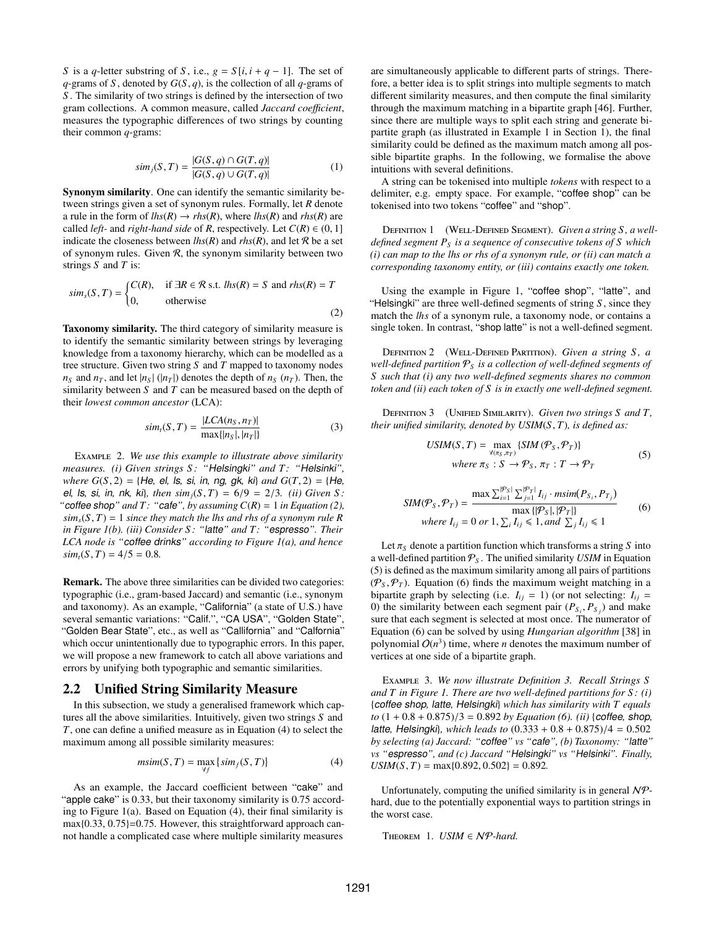*S* is a *q*-letter substring of *S*, i.e.,  $g = S[i, i + q - 1]$ . The set of *<sup>q</sup>*-grams of *<sup>S</sup>* , denoted by *<sup>G</sup>*(*S*, *<sup>q</sup>*), is the collection of all *<sup>q</sup>*-grams of *S* . The similarity of two strings is defined by the intersection of two gram collections. A common measure, called *Jaccard coefficient*, measures the typographic differences of two strings by counting their common *q*-grams:

$$
sim_j(S, T) = \frac{|G(S, q) \cap G(T, q)|}{|G(S, q) \cup G(T, q)|}
$$
(1)

Synonym similarity. One can identify the semantic similarity between strings given a set of synonym rules. Formally, let *R* denote a rule in the form of  $lhs(R) \to rhs(R)$ , where  $lhs(R)$  and  $rhs(R)$  are called *left*- and *right-hand side* of *R*, respectively. Let  $C(R) \in (0, 1]$ indicate the closeness between  $lhs(R)$  and  $rhs(R)$ , and let R be a set of synonym rules. Given  $R$ , the synonym similarity between two strings *S* and *T* is:

<span id="page-2-1"></span>
$$
sims(S, T) = \begin{cases} C(R), & \text{if } \exists R \in \mathcal{R} \text{ s.t. } lhs(R) = S \text{ and } rhs(R) = T\\ 0, & \text{otherwise} \end{cases}
$$
 (2)

Taxonomy similarity. The third category of similarity measure is to identify the semantic similarity between strings by leveraging knowledge from a taxonomy hierarchy, which can be modelled as a tree structure. Given two string *S* and *T* mapped to taxonomy nodes  $n_S$  and  $n_T$ , and let  $|n_S|$  ( $|n_T|$ ) denotes the depth of  $n_S$  ( $n_T$ ). Then, the similarity between *S* and *T* can be measured based on the depth of their *lowest common ancestor* (LCA):

$$
sim_t(S, T) = \frac{|LCA(n_S, n_T)|}{\max\{|n_S|, |n_T|\}}
$$
(3)

Example 2. *We use this example to illustrate above similarity measures. (i) Given strings S : "*Helsingki*" and T: "*Helsinki*", where <sup>G</sup>*(*S*, 2) <sup>=</sup> {He*,* el*,* ls*,* si*,* in*,* ng*,* gk*,* ki} *and <sup>G</sup>*(*T*, 2) <sup>=</sup> {He*,* el, ls, si, in, nk, ki}, then  $\sin(iS, T) = 6/9 = 2/3$ . *(ii)* Given *S* : "*coffee shop*" and *T*: "*cafe*", *by assuming*  $C(R) = 1$  *in Equation* [\(2\)](#page-2-1),  $\sin n_s(S, T) = 1$  *since they match the lhs and rhs of a synonym rule R in Figure [1\(](#page-0-0)b). (iii) Consider S : "*latte*" and T: "*espresso*". Their LCA node is "*coffee drinks*" according to Figure [1\(](#page-0-0)a), and hence*  $\sinh_t(S, T) = 4/5 = 0.8$ .

Remark. The above three similarities can be divided two categories: typographic (i.e., gram-based Jaccard) and semantic (i.e., synonym and taxonomy). As an example, "California" (a state of U.S.) have several semantic variations: "Calif.", "CA USA", "Golden State", "Golden Bear State", etc., as well as "Callifornia" and "Calfornia" which occur unintentionally due to typographic errors. In this paper, we will propose a new framework to catch all above variations and errors by unifying both typographic and semantic similarities.

## <span id="page-2-0"></span>2.2 Unified String Similarity Measure

In this subsection, we study a generalised framework which captures all the above similarities. Intuitively, given two strings *S* and *T*, one can define a unified measure as in Equation [\(4\)](#page-2-2) to select the maximum among all possible similarity measures:

<span id="page-2-2"></span>
$$
msim(S, T) = \max_{\forall f} \{sim_f(S, T)\}
$$
\n(4)

As an example, the Jaccard coefficient between "cake" and "apple cake" is 0.33, but their taxonomy similarity is 0.75 according to Figure [1\(](#page-0-0)a). Based on Equation [\(4\)](#page-2-2), their final similarity is max{0.33, 0.75}=0.75. However, this straightforward approach cannot handle a complicated case where multiple similarity measures are simultaneously applicable to different parts of strings. Therefore, a better idea is to split strings into multiple segments to match different similarity measures, and then compute the final similarity through the maximum matching in a bipartite graph [\[46\]](#page-13-4). Further, since there are multiple ways to split each string and generate bipartite graph (as illustrated in Example [1](#page-1-2) in Section [1\)](#page-0-1), the final similarity could be defined as the maximum match among all possible bipartite graphs. In the following, we formalise the above intuitions with several definitions.

A string can be tokenised into multiple *tokens* with respect to a delimiter, e.g. empty space. For example, "coffee shop" can be tokenised into two tokens "coffee" and "shop".

DEFINITION 1 (WELL-DEFINED SEGMENT). Given a string S, a well*defined segment P<sup>S</sup> is a sequence of consecutive tokens of S which (i) can map to the lhs or rhs of a synonym rule, or (ii) can match a corresponding taxonomy entity, or (iii) contains exactly one token.*

Using the example in Figure [1,](#page-0-0) "coffee shop", "latte", and "Helsingki" are three well-defined segments of string  $S$ , since they match the *lhs* of a synonym rule, a taxonomy node, or contains a single token. In contrast, "shop latte" is not a well-defined segment.

Definition 2 (Well-Defined Partition). *Given a string S , a well-defined partition* P*<sup>S</sup> is a collection of well-defined segments of S such that (i) any two well-defined segments shares no common token and (ii) each token of S is in exactly one well-defined segment.*

<span id="page-2-5"></span><span id="page-2-3"></span>Definition 3 (Unified Similarity). *Given two strings S and T, their unified similarity, denoted by USIM*(*S*, *<sup>T</sup>*)*, is defined as:*

$$
USIM(S, T) = \max_{\forall (\pi_S, \pi_T)} \{SIM(\mathcal{P}_S, \mathcal{P}_T)\}
$$
  
where  $\pi_S : S \rightarrow \mathcal{P}_S, \pi_T : T \rightarrow \mathcal{P}_T$  (5)

<span id="page-2-4"></span>
$$
SIM(\mathcal{P}_S, \mathcal{P}_T) = \frac{\max \sum_{i=1}^{|\mathcal{P}_S|} \sum_{j=1}^{|\mathcal{P}_T|} I_{ij} \cdot msim(P_{S_i}, P_{T_j})}{\max \{|\mathcal{P}_S|, |\mathcal{P}_T|\}}
$$
(6)  
where  $I_{ij} = 0$  or  $1, \sum_i I_{ij} \le 1$ , and  $\sum_j I_{ij} \le 1$ 

Let  $\pi_S$  denote a partition function which transforms a string *S* into a well-defined partition  $P<sub>S</sub>$ . The unified similarity *USIM* in Equation [\(5\)](#page-2-3) is defined as the maximum similarity among all pairs of partitions  $(\mathcal{P}_s, \mathcal{P}_T)$ . Equation [\(6\)](#page-2-4) finds the maximum weight matching in a bipartite graph by selecting (i.e.  $I_{ij} = 1$ ) (or not selecting:  $I_{ij} =$ 0) the similarity between each segment pair  $(P_{S_i}, P_{S_j})$  and make<br>sure that each segment is selected at most once. The numerator of sure that each segment is selected at most once. The numerator of Equation [\(6\)](#page-2-4) can be solved by using *Hungarian algorithm* [\[38\]](#page-12-13) in polynomial  $O(n^3)$  time, where *n* denotes the maximum number of vertices at one side of a bipartite graph.

Example 3. *We now illustrate Definition [3.](#page-2-5) Recall Strings S and T in Figure [1.](#page-0-0) There are two well-defined partitions for S : (i)* {coffee shop*,* latte*,* Helsingki} *which has similarity with T equals*  $to (1 + 0.8 + 0.875)/3 = 0.892$  *by Equation* [\(6\)](#page-2-4)*.* (*ii*) {coffee, shop, latte*,* Helsingki}*, which leads to* (0.<sup>333</sup> <sup>+</sup> <sup>0</sup>.<sup>8</sup> <sup>+</sup> <sup>0</sup>.875)/<sup>4</sup> <sup>=</sup> <sup>0</sup>.<sup>502</sup> *by selecting (a) Jaccard: "*coffee*" vs "*cafe*", (b) Taxonomy: "*latte*" vs "*espresso*", and (c) Jaccard "*Helsingki*" vs "*Helsinki*". Finally,*  $USIM(S, T) = \max\{0.892, 0.502\} = 0.892$ .

Unfortunately, computing the unified similarity is in general  $N\mathcal{P}$ hard, due to the potentially exponential ways to partition strings in the worst case.

<span id="page-2-6"></span>Theorem 1. *USIM* ∈ NP*-hard.*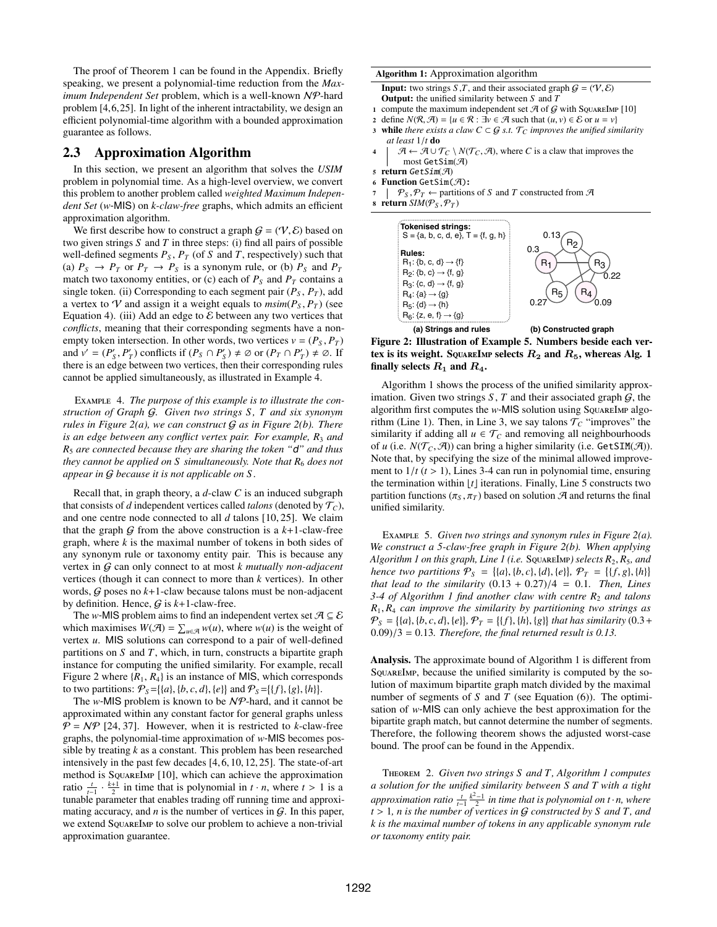The proof of Theorem [1](#page-2-6) can be found in the Appendix. Briefly speaking, we present a polynomial-time reduction from the *Maximum Independent Set* problem, which is a well-known NP-hard problem [\[4,](#page-12-14)[6,](#page-12-15)[25\]](#page-12-16). In light of the inherent intractability, we design an efficient polynomial-time algorithm with a bounded approximation guarantee as follows.

## <span id="page-3-0"></span>2.3 Approximation Algorithm

In this section, we present an algorithm that solves the *USIM* problem in polynomial time. As a high-level overview, we convert this problem to another problem called *weighted Maximum Independent Set* (*w*-MIS) on *k-claw-free* graphs, which admits an efficient approximation algorithm.

We first describe how to construct a graph  $G = (\mathcal{V}, \mathcal{E})$  based on two given strings *S* and *T* in three steps: (i) find all pairs of possible well-defined segments  $P_S$ ,  $P_T$  (of *S* and *T*, respectively) such that (a)  $P_S \rightarrow P_T$  or  $P_T \rightarrow P_S$  is a synonym rule, or (b)  $P_S$  and  $P_T$ match two taxonomy entities, or (c) each of  $P<sub>S</sub>$  and  $P<sub>T</sub>$  contains a single token. (ii) Corresponding to each segment pair  $(P<sub>S</sub>, P<sub>T</sub>)$ , add a vertex to V and assign it a weight equals to  $msim(P<sub>S</sub>, P<sub>T</sub>)$  (see Equation [4\)](#page-2-2). (iii) Add an edge to  $\mathcal E$  between any two vertices that *conflicts*, meaning that their corresponding segments have a nonempty token intersection. In other words, two vertices  $v = (P_S, P_T)$ and  $v' = (P'_S, P'_T)$  conflicts if  $(P_S \cap P'_S) \neq \emptyset$  or  $(P_T \cap P'_T) \neq \emptyset$ . If there is an edge between two vertices, then their corresponding rules cannot be applied simultaneously, as illustrated in Example [4.](#page-3-1)

<span id="page-3-1"></span>Example 4. *The purpose of this example is to illustrate the construction of Graph* G*. Given two strings S , T and six synonym rules in Figure [2\(](#page-3-2)a), we can construct* G *as in Figure [2\(](#page-3-2)b). There is an edge between any conflict vertex pair. For example,*  $R_3$  *and R*<sup>5</sup> *are connected because they are sharing the token "*d*" and thus they cannot be applied on*  $S$  *simultaneously. Note that*  $R_6$  *does not appear in* G *because it is not applicable on S .*

Recall that, in graph theory, a *d*-claw *C* is an induced subgraph that consists of *d* independent vertices called *talons* (denoted by  $T_c$ ), and one centre node connected to all *d* talons [\[10,](#page-12-18) [25\]](#page-12-16). We claim that the graph  $G$  from the above construction is a  $k+1$ -claw-free graph, where *k* is the maximal number of tokens in both sides of any synonym rule or taxonomy entity pair. This is because any vertex in G can only connect to at most *k mutually non-adjacent* vertices (though it can connect to more than *k* vertices). In other words,  $G$  poses no  $k+1$ -claw because talons must be non-adjacent by definition. Hence,  $G$  is  $k+1$ -claw-free.

The *w*-MIS problem aims to find an independent vertex set  $A \subseteq \mathcal{E}$ which maximises  $W(\mathcal{A}) = \sum_{u \in \mathcal{A}} w(u)$ , where  $w(u)$  is the weight of vertex *u*. MIS solutions can correspond to a pair of well-defined partitions on *S* and *T*, which, in turn, constructs a bipartite graph instance for computing the unified similarity. For example, recall Figure [2](#page-3-2) where  $\{R_1, R_4\}$  is an instance of MIS, which corresponds to two partitions:  $P_S = \{(a), \{b, c, d\}, \{e\}\}$  and  $P_S = \{\{f\}, \{g\}, \{h\}\}.$ <br>The w-MIS problem is known to be  $N\mathcal{P}$ -bard, and it cannot

The *w*-MIS problem is known to be NP-hard, and it cannot be approximated within any constant factor for general graphs unless  $P = NP$  [\[24,](#page-12-19) [37\]](#page-12-20). However, when it is restricted to *k*-claw-free graphs, the polynomial-time approximation of *w*-MIS becomes possible by treating *k* as a constant. This problem has been researched intensively in the past few decades [\[4,](#page-12-14) [6,](#page-12-15) [10,](#page-12-18) [12,](#page-12-21) [25\]](#page-12-16). The state-of-art method is SquareImp [\[10\]](#page-12-18), which can achieve the approximation ratio  $\frac{t}{t-1} \cdot \frac{k+1}{2}$  in time that is polynomial in *t* · *n*, where  $t > 1$  is a tunable parameter that enables trading off running time and approxitunable parameter that enables trading off running time and approximating accuracy, and  $n$  is the number of vertices in  $G$ . In this paper, we extend SquareImp to solve our problem to achieve a non-trivial approximation guarantee.

#### Algorithm 1: Approximation algorithm

<span id="page-3-4"></span>**Input:** two strings *S*, *T*, and their associated graph  $G = (V, \mathcal{E})$ Output: the unified similarity between *S* and *T*

- 1 compute the maximum independent set  $\mathcal A$  of  $\mathcal G$  with SquareImp [\[10\]](#page-12-18)
- 2 define  $N(R, \mathcal{A}) = \{u \in R : \exists v \in \mathcal{A} \text{ such that } (u, v) \in \mathcal{E} \text{ or } u = v\}$ <br>3 while *there exists a claw C*  $\subseteq G$  *s.t.*  $\mathcal{T}_C$  *improves the unified sin*
- **while** *there exists a claw C* ⊂ *G s.t.*  $\tau$ <sub>*C*</sub> *improves the unified similarity at least* <sup>1</sup>/*<sup>t</sup>* do
- $4 \mid \mathcal{A} \leftarrow \mathcal{A} \cup \mathcal{T}_C \setminus N(\mathcal{T}_C, \mathcal{A})$ , where *C* is a claw that improves the most  $\text{GetSim}(\mathcal{A})$
- <sup>5</sup> return GetSim(A)
- 6 Function GetSim $(\mathcal{A})$ :
- $\mathcal{P}_S$ ,  $\mathcal{P}_T \leftarrow$  partitions of *S* and *T* constructed from  $\mathcal{A}$ <br>**8 return**  $\mathcal{S}IM(\mathcal{P}_{S}, \mathcal{P}_T)$
- <span id="page-3-2"></span>return *SIM*( $P_S$ , $P_T$ )



Figure 2: Illustration of Example [5.](#page-3-3) Numbers beside each vertex is its weight. SQUAREIMP selects  $R_2$  and  $R_5$ , whereas Alg. [1](#page-3-4) finally selects  $R_1$  and  $R_4$ .

Algorithm [1](#page-3-4) shows the process of the unified similarity approximation. Given two strings  $S$ ,  $T$  and their associated graph  $G$ , the algorithm first computes the *w*-MIS solution using SquareImp algorithm (Line 1). Then, in Line 3, we say talons  $\mathcal{T}_C$  "improves" the similarity if adding all  $u \in \mathcal{T}_C$  and removing all neighbourhoods of *u* (i.e.  $N(\mathcal{T}_C, \mathcal{A})$ ) can bring a higher similarity (i.e. GetSIM( $\mathcal{A}$ )). Note that, by specifying the size of the minimal allowed improvement to  $1/t$  ( $t > 1$ ), Lines 3-4 can run in polynomial time, ensuring the termination within  $[t]$  iterations. Finally, Line 5 constructs two partition functions ( $\pi_S$ ,  $\pi_T$ ) based on solution  $\mathcal A$  and returns the final unified similarity.

<span id="page-3-3"></span>Example 5. *Given two strings and synonym rules in Figure [2\(](#page-3-2)a). We construct a 5-claw-free graph in Figure [2\(](#page-3-2)b). When applying Algorithm [1](#page-3-4) on this graph, Line 1 (i.e.* <sup>S</sup>quareImp*) selects <sup>R</sup>*<sup>2</sup>, *<sup>R</sup>*5*, and hence two partitions*  $P_S = \{(a), \{b, c\}, \{d\}, \{e\}\}$ ,  $P_T = \{\{f, g\}, \{h\}\}$ <br>that lead to the similarity (0.13 + 0.27)/4 = 0.1 Then Lines *that lead to the similarity*  $(0.13 + 0.27)/4 = 0.1$ *. Then, Lines 3-4 of Algorithm [1](#page-3-4) find another claw with centre R<sub>2</sub> and talons <sup>R</sup>*<sup>1</sup>, *<sup>R</sup>*<sup>4</sup> *can improve the similarity by partitioning two strings as*  $P_S = \{ \{a\}, \{b, c, d\}, \{e\} \}, P_T = \{ \{f\}, \{h\}, \{g\} \}$  that has similarity  $(0.3 + 0.09)/3 - 0.13$ . Therefore, the final returned result is 0.13 <sup>0</sup>.09)/<sup>3</sup> <sup>=</sup> <sup>0</sup>.13*. Therefore, the final returned result is 0.13.*

Analysis. The approximate bound of Algorithm [1](#page-3-4) is different from SquareImp, because the unified similarity is computed by the solution of maximum bipartite graph match divided by the maximal number of segments of *S* and *T* (see Equation [\(6\)](#page-2-4)). The optimisation of *w*-MIS can only achieve the best approximation for the bipartite graph match, but cannot determine the number of segments. Therefore, the following theorem shows the adjusted worst-case bound. The proof can be found in the Appendix.

<span id="page-3-5"></span>Theorem 2. *Given two strings S and T, Algorithm [1](#page-3-4) computes a solution for the unified similarity between S and T with a tight approximation ratio*  $\frac{t}{t-1} \frac{k^2-1}{2}$  *in time that is polynomial on t · n, where <sup>t</sup>* > <sup>1</sup>*, <sup>n</sup> is the number of vertices in* <sup>G</sup> *constructed by <sup>S</sup> and T, and k is the maximal number of tokens in any applicable synonym rule or taxonomy entity pair.*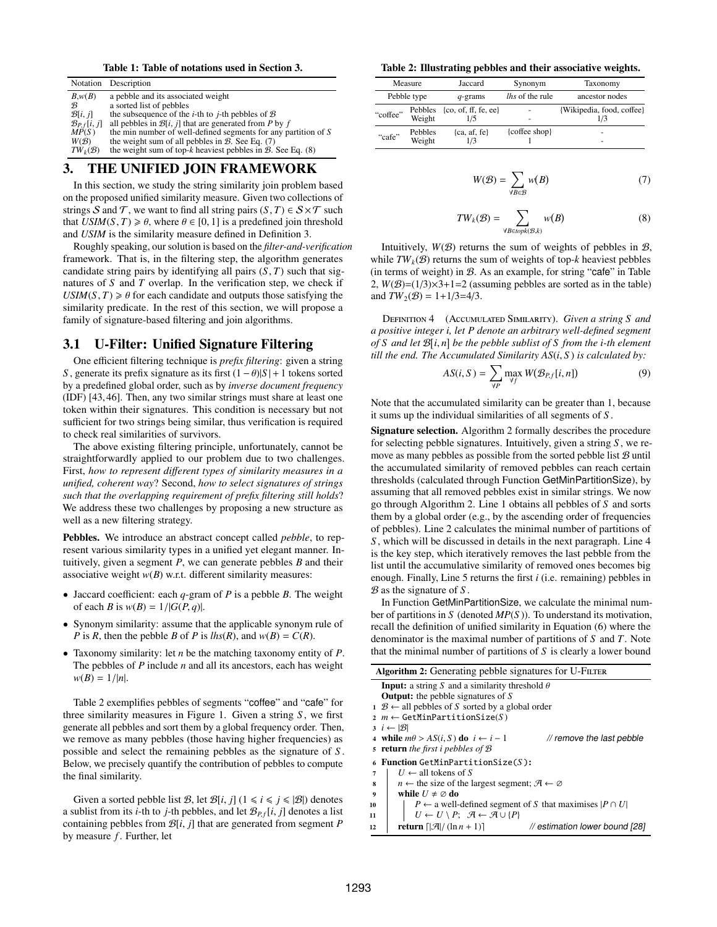Table 1: Table of notations used in Section [3.](#page-4-0)

|                          | Notation Description                                                         |
|--------------------------|------------------------------------------------------------------------------|
| B,w(B)                   | a pebble and its associated weight                                           |
| B                        | a sorted list of pebbles                                                     |
| $\mathcal{B}[i, j]$      | the subsequence of the <i>i</i> -th to <i>j</i> -th pebbles of $\mathcal{B}$ |
| $\mathcal{B}_{P,f}[i,j]$ | all pebbles in $\mathcal{B}[i, j]$ that are generated from P by f            |
| MP(S)                    | the min number of well-defined segments for any partition of S               |
| W(B)                     | the weight sum of all pebbles in $B$ . See Eq. (7)                           |
| $TW_k(\mathcal{B})$      | the weight sum of top-k heaviest pebbles in $\mathcal{B}$ . See Eq. (8)      |

## <span id="page-4-0"></span>3. THE UNIFIED JOIN FRAMEWORK

In this section, we study the string similarity join problem based on the proposed unified similarity measure. Given two collections of strings S and T, we want to find all string pairs  $(S, T) \in S \times T$  such that  $USIM(S, T) \ge \theta$ , where  $\theta \in [0, 1]$  is a predefined join threshold and *USIM* is the similarity measure defined in Definition [3.](#page-2-5)

Roughly speaking, our solution is based on the *filter-and-verification* framework. That is, in the filtering step, the algorithm generates candidate string pairs by identifying all pairs  $(S, T)$  such that signatures of *S* and *T* overlap. In the verification step, we check if  $USIM(S, T) \ge \theta$  for each candidate and outputs those satisfying the similarity predicate. In the rest of this section, we will propose a family of signature-based filtering and join algorithms.

## 3.1 U-Filter: Unified Signature Filtering

One efficient filtering technique is *prefix filtering*: given a string *S*, generate its prefix signature as its first  $(1 - \theta)|S| + 1$  tokens sorted by a predefined global order, such as by *inverse document frequency* (IDF) [\[43,](#page-12-22) [46\]](#page-13-4). Then, any two similar strings must share at least one token within their signatures. This condition is necessary but not sufficient for two strings being similar, thus verification is required to check real similarities of survivors.

The above existing filtering principle, unfortunately, cannot be straightforwardly applied to our problem due to two challenges. First, *how to represent di*ff*erent types of similarity measures in a unified, coherent way*? Second, *how to select signatures of strings such that the overlapping requirement of prefix filtering still holds*? We address these two challenges by proposing a new structure as well as a new filtering strategy.

Pebbles. We introduce an abstract concept called *pebble*, to represent various similarity types in a unified yet elegant manner. Intuitively, given a segment *P*, we can generate pebbles *B* and their associative weight *w*(*B*) w.r.t. different similarity measures:

- Jaccard coefficient: each *q*-gram of *P* is a pebble *B*. The weight of each *B* is  $w(B) = 1/|G(P, q)|$ .
- Synonym similarity: assume that the applicable synonym rule of *P* is *R*, then the pebble *B* of *P* is  $lhs(R)$ , and  $w(B) = C(R)$ .
- Taxonomy similarity: let *n* be the matching taxonomy entity of *P*. The pebbles of *P* include *n* and all its ancestors, each has weight  $w(B) = 1/|n|$ .

Table [2](#page-4-3) exemplifies pebbles of segments "coffee" and "cafe" for three similarity measures in Figure [1.](#page-0-0) Given a string *S* , we first generate all pebbles and sort them by a global frequency order. Then, we remove as many pebbles (those having higher frequencies) as possible and select the remaining pebbles as the signature of *S* . Below, we precisely quantify the contribution of pebbles to compute the final similarity.

Given a sorted pebble list B, let  $\mathcal{B}[i, j]$  ( $1 \le i \le j \le |\mathcal{B}|$ ) denotes a sublist from its *i*-th to *j*-th pebbles, and let  $\mathcal{B}_{P,f}[i, j]$  denotes a list containing pebbles from <sup>B</sup>[*i*, *<sup>j</sup>*] that are generated from segment *<sup>P</sup>* by measure *f*. Further, let

<span id="page-4-3"></span>Table 2: Illustrating pebbles and their associative weights.

|             | Measure           | Jaccard                             | Synonym                | Taxonomy                         |
|-------------|-------------------|-------------------------------------|------------------------|----------------------------------|
| Pebble type |                   | $q$ -grams                          | <i>lhs</i> of the rule | ancestor nodes                   |
| "coffee"    | Weight            | Pebbles {co, of, ff, fe, ee}<br>1/5 | -                      | {Wikipedia, food, coffee}<br>1/3 |
| "cafe"      | Pebbles<br>Weight | ${ca, af, fe}$<br>1/3               | {coffee shop}          | -<br>-                           |

<span id="page-4-1"></span>
$$
W(\mathcal{B}) = \sum_{\forall B \in \mathcal{B}} w(B) \tag{7}
$$

<span id="page-4-2"></span>
$$
TW_k(\mathcal{B}) = \sum_{\forall B \in topk(\mathcal{B},k)} w(B)
$$
 (8)

Intuitively,  $W(B)$  returns the sum of weights of pebbles in  $B$ , while  $TW_k(\mathcal{B})$  returns the sum of weights of top-*k* heaviest pebbles (in terms of weight) in  $B$ . As an example, for string "cafe" in Table [2,](#page-4-3)  $W(\mathcal{B})=(1/3)\times3+1=2$  (assuming pebbles are sorted as in the table) and  $TW_2(\mathcal{B}) = 1 + 1/3 = 4/3$ .

Definition 4 (Accumulated Similarity). *Given a string S and a positive integer i, let P denote an arbitrary well-defined segment of S* and let  $\mathcal{B}[i, n]$  be the pebble sublist of *S from the i-th* element<br>till the end. The Accumulated Similarity AS(*i*, *S*) is calculated by: *till the end. The Accumulated Similarity AS*(*i*, *<sup>S</sup>* ) *is calculated by:*

$$
AS(i, S) = \sum_{\forall P} \max_{\forall f} W(\mathcal{B}_{P, f}[i, n])
$$
(9)

Note that the accumulated similarity can be greater than 1, because it sums up the individual similarities of all segments of *S* .

Signature selection. Algorithm [2](#page-4-4) formally describes the procedure for selecting pebble signatures. Intuitively, given a string *S* , we remove as many pebbles as possible from the sorted pebble list  $B$  until the accumulated similarity of removed pebbles can reach certain thresholds (calculated through Function GetMinPartitionSize), by assuming that all removed pebbles exist in similar strings. We now go through Algorithm [2.](#page-4-4) Line 1 obtains all pebbles of *S* and sorts them by a global order (e.g., by the ascending order of frequencies of pebbles). Line 2 calculates the minimal number of partitions of *S* , which will be discussed in details in the next paragraph. Line 4 is the key step, which iteratively removes the last pebble from the list until the accumulative similarity of removed ones becomes big enough. Finally, Line 5 returns the first *i* (i.e. remaining) pebbles in B as the signature of *S* .

In Function GetMinPartitionSize, we calculate the minimal number of partitions in *S* (denoted *MP*(*S* )). To understand its motivation, recall the definition of unified similarity in Equation [\(6\)](#page-2-4) where the denominator is the maximal number of partitions of *S* and *T*. Note that the minimal number of partitions of *S* is clearly a lower bound

<span id="page-4-4"></span>

|    | Algorithm 2: Generating pebble signatures for U-FILTER                                 |  |  |  |  |  |  |  |
|----|----------------------------------------------------------------------------------------|--|--|--|--|--|--|--|
|    | <b>Input:</b> a string S and a similarity threshold $\theta$                           |  |  |  |  |  |  |  |
|    | <b>Output:</b> the pebble signatures of $S$                                            |  |  |  |  |  |  |  |
|    | $1 \mathcal{B} \leftarrow$ all pebbles of S sorted by a global order                   |  |  |  |  |  |  |  |
|    | $2 m \leftarrow \text{GetMinPartitionSize}(S)$                                         |  |  |  |  |  |  |  |
|    | $3 \quad i \leftarrow  \mathcal{B} $                                                   |  |  |  |  |  |  |  |
|    | 4 while $m\theta > AS(i, S)$ do $i \leftarrow i-1$<br>// remove the last pebble        |  |  |  |  |  |  |  |
|    | 5 <b>return</b> the first i pebbles of $\mathcal{B}$                                   |  |  |  |  |  |  |  |
|    | <b>Function GetMinPartitionSize(S):</b>                                                |  |  |  |  |  |  |  |
| 7  | $U \leftarrow$ all tokens of S                                                         |  |  |  |  |  |  |  |
| 8  | $n \leftarrow$ the size of the largest segment; $\mathcal{A} \leftarrow \emptyset$     |  |  |  |  |  |  |  |
| 9  | while $U \neq \emptyset$ do                                                            |  |  |  |  |  |  |  |
| 10 | $P \leftarrow$ a well-defined segment of S that maximises $ P \cap U $                 |  |  |  |  |  |  |  |
| 11 | $U \leftarrow U \setminus P$ ; $\mathcal{A} \leftarrow \mathcal{A} \cup \{P\}$         |  |  |  |  |  |  |  |
| 12 | // estimation lower bound [28]<br><b>return</b> $\left[\mathcal{A}/(\ln n + 1)\right]$ |  |  |  |  |  |  |  |
|    |                                                                                        |  |  |  |  |  |  |  |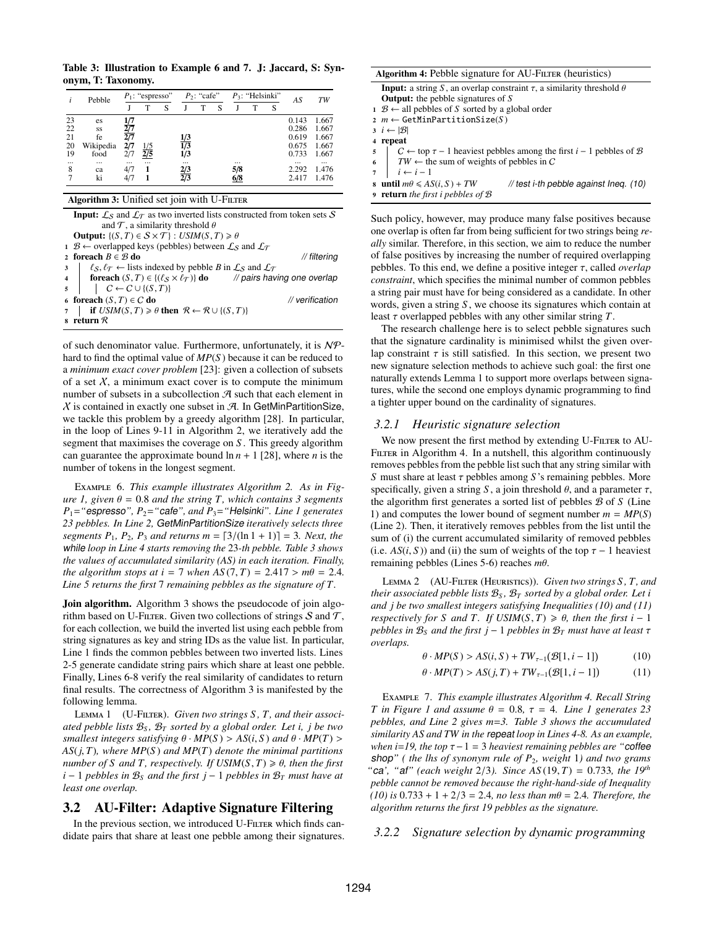<span id="page-5-2"></span>Table 3: Illustration to Example [6](#page-5-0) and [7.](#page-5-1) J: Jaccard, S: Synonym, T: Taxonomy.

|                | $P_1$ : "espresso" |                          | $P_2$ : "cafe" |                     |                                             | $P_3$ : "Helsinki" |                 |     |   | TW                |                            |
|----------------|--------------------|--------------------------|----------------|---------------------|---------------------------------------------|--------------------|-----------------|-----|---|-------------------|----------------------------|
|                |                    | T                        | S              |                     | т                                           | S                  |                 | т   | S |                   |                            |
| es             |                    |                          |                |                     |                                             |                    |                 |     |   | 0.143             | 1.667                      |
| SS             |                    |                          |                |                     |                                             |                    |                 |     |   | 0.286             | 1.667                      |
| fe             |                    |                          |                |                     |                                             |                    |                 |     |   | 0.619             | 1.667                      |
| Wikipedia      | 2/7                |                          |                |                     |                                             |                    |                 |     |   | 0.675             | 1.667                      |
| food           | 2/7                | $\overline{2/5}$         |                | 1/3                 |                                             |                    |                 |     |   | 0.733             | 1.667                      |
| $\cdots$<br>ca | $\cdots$<br>4/7    | $\cdots$                 |                | <br>$\frac{2/3}{2}$ |                                             |                    | $\cdots$<br>5/8 |     |   | $\cdots$<br>2.292 | $\cdots$<br>1.476<br>1.476 |
|                | Pebble<br>ki       | 1/7<br>$\frac{2/7}{2/7}$ | 1/5            |                     | 1/3<br>$\overline{1/3}$<br>$\overline{2}/3$ |                    |                 | 6/8 |   |                   | AS<br>2.417                |

#### Algorithm 3: Unified set join with U-FILTER

<span id="page-5-3"></span>

| <b>Input:</b> $\mathcal{L}_S$ and $\mathcal{L}_T$ as two inverted lists constructed from token sets S |
|-------------------------------------------------------------------------------------------------------|
| and $\mathcal T$ , a similarity threshold $\theta$                                                    |
| <b>Output:</b> $\{(S, T) \in S \times T\}$ : USIM $(S, T) \ge \theta$                                 |
| $1 \mathcal{B} \leftarrow$ overlapped keys (pebbles) between $\mathcal{L}_S$ and $\mathcal{L}_T$      |
| 2 foreach $B \in \mathcal{B}$ do<br>// filtering                                                      |
| $s \mid \ell_S, \ell_T \leftarrow$ lists indexed by pebble B in $\mathcal{L}_S$ and $\mathcal{L}_T$   |
| 4   foreach $(S, T) \in \{(\ell_S \times \ell_{\mathcal{T}})\}\$ do // pairs having one overlap       |
| $5 \mid C \leftarrow C \cup \{(S, T)\}$                                                               |
| 6 foreach $(S, T) \in C$ do<br>$\mathcal N$ verification                                              |
| 7   if $USIM(S, T) \ge \theta$ then $\mathcal{R} \leftarrow \mathcal{R} \cup \{(S, T)\}\$             |
| s return $\mathcal R$                                                                                 |

of such denominator value. Furthermore, unfortunately, it is NPhard to find the optimal value of *MP*(*S* ) because it can be reduced to a *minimum exact cover problem* [\[23\]](#page-12-24): given a collection of subsets of a set  $X$ , a minimum exact cover is to compute the minimum number of subsets in a subcollection  $\mathcal A$  such that each element in  $X$  is contained in exactly one subset in  $A$ . In GetMinPartitionSize, we tackle this problem by a greedy algorithm [\[28\]](#page-12-23). In particular, in the loop of Lines 9-11 in Algorithm [2,](#page-4-4) we iteratively add the segment that maximises the coverage on *S* . This greedy algorithm can guarantee the approximate bound  $\ln n + 1$  [\[28\]](#page-12-23), where *n* is the number of tokens in the longest segment.

<span id="page-5-0"></span>Example 6. *This example illustrates Algorithm [2.](#page-4-4) As in Figure l*, *given*  $\theta = 0.8$  *and the string T*, *which contains* 3 *segments P*1=*"*espresso*", P*2=*"*cafe*", and P*3=*"*Helsinki*". Line 1 generates 23 pebbles. In Line 2,* GetMinPartitionSize *iteratively selects three segments*  $P_1$ ,  $P_2$ ,  $P_3$  *and returns*  $m = \frac{3}{\ln 1 + 1} = 3$ *. Next, the* while *loop in Line 4 starts removing the* 23*-th pebble. Table [3](#page-5-2) shows the values of accumulated similarity (AS) in each iteration. Finally, the algorithm stops at*  $i = 7$  *when*  $AS(7, T) = 2.417 > m\theta = 2.4$ . *Line 5 returns the first* 7 *remaining pebbles as the signature of T.*

Join algorithm. Algorithm [3](#page-5-3) shows the pseudocode of join algorithm based on U-FILTER. Given two collections of strings  $S$  and  $T$ , for each collection, we build the inverted list using each pebble from string signatures as key and string IDs as the value list. In particular, Line 1 finds the common pebbles between two inverted lists. Lines 2-5 generate candidate string pairs which share at least one pebble. Finally, Lines 6-8 verify the real similarity of candidates to return final results. The correctness of Algorithm [3](#page-5-3) is manifested by the following lemma.

<span id="page-5-5"></span>Lemma 1 (U-Filter). *Given two strings S , T, and their associated pebble lists*  $B_S$ ,  $B_T$  *sorted by a global order. Let i, j be two smallest integers satisfying*  $\theta \cdot MP(S) > AS(i, S)$  *and*  $\theta \cdot MP(T) >$ *AS*(*j*, *<sup>T</sup>*)*, where MP*(*<sup>S</sup>* ) *and MP*(*T*) *denote the minimal partitions number of S and T*, *respectively. If*  $USIM(S, T) \geq \theta$ , *then the first*  $i - 1$  *pebbles in*  $B_s$  *and the first*  $j - 1$  *pebbles in*  $B_T$  *must have at least one overlap.*

### 3.2 AU-Filter: Adaptive Signature Filtering

In the previous section, we introduced U-FILTER which finds candidate pairs that share at least one pebble among their signatures.

<span id="page-5-6"></span>

| Algorithm 4: Pebble signature for AU-FILTER (heuristics)                                                   |  |  |  |  |  |  |
|------------------------------------------------------------------------------------------------------------|--|--|--|--|--|--|
| <b>Input:</b> a string S, an overlap constraint $\tau$ , a similarity threshold $\theta$                   |  |  |  |  |  |  |
| <b>Output:</b> the pebble signatures of $S$                                                                |  |  |  |  |  |  |
| $1 \mathcal{B} \leftarrow$ all pebbles of S sorted by a global order                                       |  |  |  |  |  |  |
| $2 m \leftarrow \text{GetMinPartitionSize}(S)$                                                             |  |  |  |  |  |  |
| $3 \quad i \leftarrow  \mathcal{B} $                                                                       |  |  |  |  |  |  |
| 4 repeat                                                                                                   |  |  |  |  |  |  |
| $\vert C \leftarrow$ top $\tau$ – 1 heaviest pebbles among the first $i$ – 1 pebbles of $\mathcal{B}$<br>5 |  |  |  |  |  |  |
| $\vert TW \leftarrow$ the sum of weights of pebbles in C<br>6                                              |  |  |  |  |  |  |
| $i \leftarrow i-1$<br>$\overline{7}$                                                                       |  |  |  |  |  |  |
| until $m\theta \le AS(i, S) + TW$<br>// test i-th pebble against lneq. $(10)$<br>8                         |  |  |  |  |  |  |
| <b>9</b> return the first i pebbles of $\mathcal{B}$                                                       |  |  |  |  |  |  |
|                                                                                                            |  |  |  |  |  |  |

Such policy, however, may produce many false positives because one overlap is often far from being sufficient for two strings being *really* similar. Therefore, in this section, we aim to reduce the number of false positives by increasing the number of required overlapping pebbles. To this end, we define a positive integer τ, called *overlap constraint*, which specifies the minimal number of common pebbles a string pair must have for being considered as a candidate. In other words, given a string *S* , we choose its signatures which contain at least τ overlapped pebbles with any other similar string *<sup>T</sup>*.

The research challenge here is to select pebble signatures such that the signature cardinality is minimised whilst the given overlap constraint  $\tau$  is still satisfied. In this section, we present two new signature selection methods to achieve such goal: the first one naturally extends Lemma [1](#page-5-5) to support more overlaps between signatures, while the second one employs dynamic programming to find a tighter upper bound on the cardinality of signatures.

#### *3.2.1 Heuristic signature selection*

We now present the first method by extending U-FILTER to AU-FILTER in Algorithm [4.](#page-5-6) In a nutshell, this algorithm continuously removes pebbles from the pebble list such that any string similar with *<sup>S</sup>* must share at least τ pebbles among *<sup>S</sup>* 's remaining pebbles. More specifically, given a string *S*, a join threshold  $\theta$ , and a parameter  $\tau$ , the algorithm first generates a sorted list of pebbles B of *S* (Line 1) and computes the lower bound of segment number  $m = MP(S)$ (Line 2). Then, it iteratively removes pebbles from the list until the sum of (i) the current accumulated similarity of removed pebbles (i.e.  $AS(i, S)$ ) and (ii) the sum of weights of the top  $\tau - 1$  heaviest remaining pebbles (Lines 5-6) reaches *<sup>m</sup>*θ.

Lemma 2 (AU-Filter (Heuristics)). *Given two strings S , T, and their associated pebble lists*  $B_s$ ,  $B_T$  *sorted by a global order. Let i and j be two smallest integers satisfying Inequalities [\(10\)](#page-5-4) and [\(11\)](#page-5-7) respectively for S and T. If*  $USIM(S, T) \ge \theta$ , *then the first i* − 1 *pebbles in*  $B_s$  *and the first*  $j - 1$  *pebbles in*  $B_T$  *must have at least*  $\tau$ *overlaps.*

> <span id="page-5-7"></span><span id="page-5-4"></span> $\theta \cdot MP(S) > AS(i, S) + TW_{\tau-1}(B[1, i-1])$ (10)

$$
\theta \cdot MP(T) > AS(j, T) + TW_{\tau^{-1}}(\mathcal{B}[1, i-1])
$$
 (11)

<span id="page-5-1"></span>Example 7. *This example illustrates Algorithm [4.](#page-5-6) Recall String T in Figure 1 and assume*  $\theta = 0.8$ ,  $\tau = 4$ *. Line 1 generates* 23 *pebbles, and Line 2 gives m*=*3. Table [3](#page-5-2) shows the accumulated similarity AS and TW in the* repeat *loop in Lines 4-8. As an example, when <sup>i</sup>*=*19, the top* τ−<sup>1</sup> <sup>=</sup> <sup>3</sup> *heaviest remaining pebbles are "*coffee shop*" ( the lhs of synonym rule of P*2*, weight* 1*) and two grams "*ca', "af" (each weight 2/3). Since  $AS(19, T) = 0.733$ , the 19<sup>th</sup> *pebble cannot be removed because the right-hand-side of Inequality*  $(10)$  *is*  $0.733 + 1 + 2/3 = 2.4$ *, no less than*  $m\theta = 2.4$ *. Therefore, the algorithm returns the first 19 pebbles as the signature.*

#### *3.2.2 Signature selection by dynamic programming*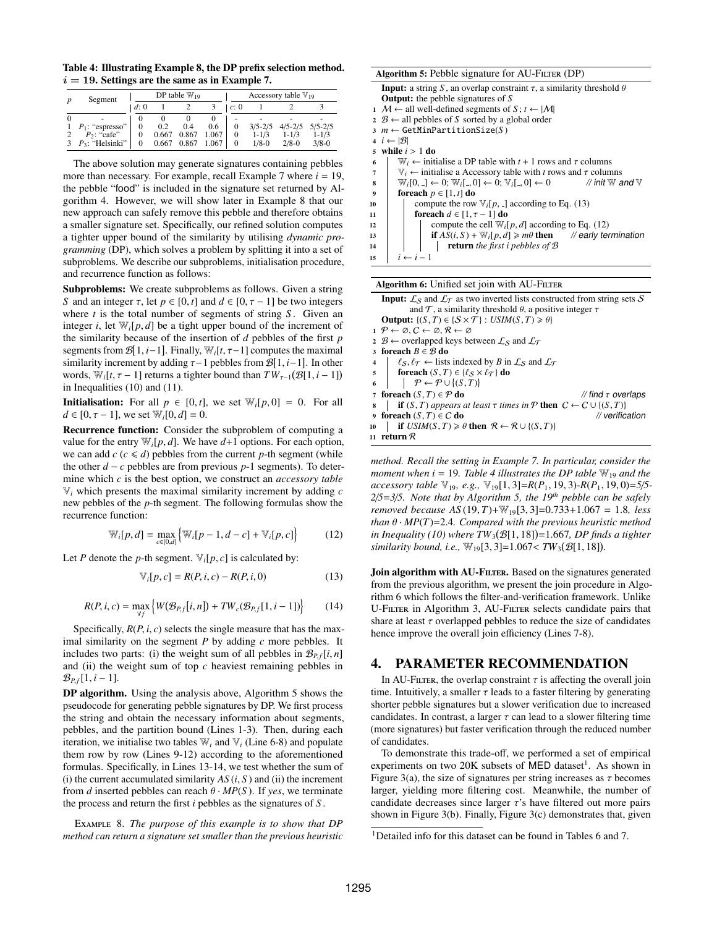<span id="page-6-5"></span>Table 4: Illustrating Example [8,](#page-6-1) the DP prefix selection method.  $i = 19$ . Settings are the same as in Example [7.](#page-5-1)

| Segment              |     |       | DP table $\mathbb{W}_{19}$ |       |      |             | Accessory table $\mathbb{V}_{19}$ |             |
|----------------------|-----|-------|----------------------------|-------|------|-------------|-----------------------------------|-------------|
|                      | d:0 |       |                            |       | c: 0 |             |                                   |             |
|                      |     |       |                            |       |      |             |                                   |             |
| 1 $P_1$ : "espresso" | 0   | 0.2   | 0.4                        | 0.6   |      | $3/5 - 2/5$ | $4/5 - 2/5$                       | $5/5 - 2/5$ |
| $P_2$ : "cafe"       | 0   | 0.667 | 0.867                      | 1.067 |      | $1 - 1/3$   | $1 - 1/3$                         | $1 - 1/3$   |
| $P_3$ : "Helsinki"   |     | 0.667 | 0.867                      | 1.067 |      | $1/8-0$     | $2/8 - 0$                         | $3/8 - 0$   |

The above solution may generate signatures containing pebbles more than necessary. For example, recall Example [7](#page-5-1) where  $i = 19$ , the pebble "food" is included in the signature set returned by Algorithm [4.](#page-5-6) However, we will show later in Example [8](#page-6-1) that our new approach can safely remove this pebble and therefore obtains a smaller signature set. Specifically, our refined solution computes a tighter upper bound of the similarity by utilising *dynamic programming* (DP), which solves a problem by splitting it into a set of subproblems. We describe our subproblems, initialisation procedure, and recurrence function as follows:

Subproblems: We create subproblems as follows. Given a string *S* and an integer  $\tau$ , let  $p \in [0, t]$  and  $d \in [0, \tau - 1]$  be two integers where *t* is the total number of segments of string *S*. Given an integer *i*, let  $\mathbb{W}_i[p,d]$  be a tight upper bound of the increment of the similarity because of the insertion of *d* pebbles of the first *p* segments from  $\mathcal{B}[1, i-1]$ . Finally,  $\mathbb{W}_i[t, \tau-1]$  computes the maximal<br>similarity increment by adding  $\tau-1$  pebbles from  $\mathcal{B}[1, i-1]$ . In other similarity increment by adding  $τ-1$  pebbles from  $\mathcal{B}[1, i-1]$ . In other words  $W \cdot t \tau = 11$  returns a tighter bound than  $TW \cdot (\mathcal{B}[1, i-1])$ words,  $\overline{W}_i[t, \tau - 1]$  returns a tighter bound than  $\overline{TW}_{\tau-1}(\mathcal{B}[1, i - 1])$ <br>in Inequalities (10) and (11) in Inequalities [\(10\)](#page-5-4) and [\(11\)](#page-5-7).

**Initialisation:** For all  $p \in [0, t]$ , we set  $\mathbb{W}_i[p, 0] = 0$ . For all  $d \in [0, \tau - 1]$ , we set  $\mathbb{W}_{i}[0, d] = 0$ .

Recurrence function: Consider the subproblem of computing a value for the entry  $\mathbb{W}_{i}[p, d]$ . We have  $d+1$  options. For each option, we can add  $c$  ( $c \le d$ ) pebbles from the current *p*-th segment (while the other *d* − *c* pebbles are from previous *p*-1 segments). To determine which *c* is the best option, we construct an *accessory table* V*<sup>i</sup>* which presents the maximal similarity increment by adding *c* new pebbles of the *p*-th segment. The following formulas show the recurrence function:

<span id="page-6-4"></span>
$$
\mathbb{W}_{i}[p,d] = \max_{c \in [0,d]} \{ \mathbb{W}_{i}[p-1,d-c] + \mathbb{V}_{i}[p,c] \}
$$
(12)

Let *P* denote the *p*-th segment.  $V_i[p, c]$  is calculated by:

<span id="page-6-3"></span>
$$
\mathbb{V}_i[p, c] = R(P, i, c) - R(P, i, 0)
$$
\n(13)

$$
R(P, i, c) = \max_{\forall f} \left\{ W(\mathcal{B}_{P, f}[i, n]) + TW_c(\mathcal{B}_{P, f}[1, i-1]) \right\}
$$
(14)

Specifically,  $R(P, i, c)$  selects the single measure that has the maximal similarity on the segment *P* by adding *c* more pebbles. It includes two parts: (i) the weight sum of all pebbles in  $\mathcal{B}_{P,f}[i,n]$ and (ii) the weight sum of top *c* heaviest remaining pebbles in  $\mathcal{B}_{P,f}[1, i-1].$ 

DP algorithm. Using the analysis above, Algorithm [5](#page-6-2) shows the pseudocode for generating pebble signatures by DP. We first process the string and obtain the necessary information about segments, pebbles, and the partition bound (Lines 1-3). Then, during each iteration, we initialise two tables  $W_i$  and  $V_i$  (Line 6-8) and populate them row by row (Lines 9-12) according to the aforementioned formulas. Specifically, in Lines 13-14, we test whether the sum of (i) the current accumulated similarity  $AS(i, S)$  and (ii) the increment from *d* inserted pebbles can reach  $\theta \cdot MP(S)$ . If *yes*, we terminate the process and return the first *i* pebbles as the signatures of *S* .

<span id="page-6-1"></span>Example 8. *The purpose of this example is to show that DP method can return a signature set smaller than the previous heuristic*

<span id="page-6-2"></span>

|                  | Algorithm 5: Pebble signature for AU-FILTER (DP)                                                                |
|------------------|-----------------------------------------------------------------------------------------------------------------|
|                  | <b>Input:</b> a string S, an overlap constraint $\tau$ , a similarity threshold $\theta$                        |
|                  | <b>Output:</b> the pebble signatures of $S$                                                                     |
|                  | 1 <i>M</i> ← all well-defined segments of <i>S</i> ; $t \leftarrow  M $                                         |
|                  | $2 \mathcal{B} \leftarrow$ all pebbles of S sorted by a global order                                            |
|                  | $m \leftarrow \text{GetMinPartitionSize}(S)$                                                                    |
|                  | 4 $i \leftarrow  \mathcal{B} $                                                                                  |
| 5.               | while $i > 1$ do                                                                                                |
| 6                | $W_i \leftarrow$ initialise a DP table with $t + 1$ rows and $\tau$ columns                                     |
| 7                | $\mathbb{V}_i \leftarrow$ initialise a Accessory table with t rows and $\tau$ columns                           |
| 8                | $W_i[0, 1] \leftarrow 0; W_i[0, 0] \leftarrow 0; V_i[0, 0] \leftarrow 0$<br>// init $\mathbb W$ and $\mathbb V$ |
| $\boldsymbol{9}$ | foreach $p \in [1, t]$ do                                                                                       |
| 10               | compute the row $\mathbb{V}_i[p, \cdot]$ according to Eq. (13)                                                  |
| 11               | foreach $d \in [1, \tau - 1]$ do                                                                                |
| 12               | compute the cell $W_i[p,d]$ according to Eq. (12)                                                               |
| 13               | if $AS(i, S) + W_i[p, d] \ge m\theta$ then // early termination                                                 |
| 14               | <b>return</b> the first i pebbles of $\mathcal{B}$                                                              |
| 15               | $i \leftarrow i-1$                                                                                              |
|                  |                                                                                                                 |

Algorithm 6: Unified set join with AU-FILTER

<span id="page-6-6"></span>**Input:**  $\mathcal{L}_S$  and  $\mathcal{L}_T$  as two inverted lists constructed from string sets S and  $\mathcal T$ , a similarity threshold  $\theta$ , a positive integer  $\tau$ **Output:**  $\{(S, T) \in \{S \times T\} : \textit{USIM}(S, T) \geq \theta\}$  $1 \mathcal{P} \leftarrow \emptyset, C \leftarrow \emptyset, \mathcal{R} \leftarrow \emptyset$ 2  $B \leftarrow$  overlapped keys between  $\mathcal{L}_S$  and  $\mathcal{L}_T$ 3 foreach  $B \in \mathcal{B}$  do 4  $\left\{ \begin{array}{l} \n\ell_S, \ell_{\mathcal{T}} \leftarrow \text{lists indexed by } B \text{ in } \mathcal{L}_S \text{ and } \mathcal{L}_{\mathcal{T}} \n\end{array} \right.$ <br>
foreach  $(S, T) \in \{ \ell_S \times \ell_{\mathcal{T}} \}$  do 5 foreach  $(S, T) \in \{\ell_S \times \ell_T\}$  do<br>6  $\uparrow \mathcal{P} \leftarrow \mathcal{P} \cup \{(S, T)\}$ 6  $\vert \rho \leftarrow \mathcal{P} \cup \{ (S, T) \}$ <br>7 for each  $(S, T) \subset \mathcal{P}$  do *T* foreach (*S*, *T*) ∈ *P* do *// find τ overlaps*<br>s | **if** (*S*, *T*) appears at least τ times in *P* then  $C \leftarrow C \cup \{(S, T)\}$ 8 if (*S*, *T*) *appears at least* τ *times in*  $P$  **then**  $C$  ←  $C$  ∪ {(*S*, *T*)}<br>9 **foreach** (*S*, *T*) ∈ *C* **do** 9 foreach  $(S, T) \in C$  do // verification<br>
10 if  $USIM(S, T) \ge \theta$  then  $\mathcal{R} \leftarrow \mathcal{R} \cup \{(S, T)\}$ <br>
11 return  $\mathcal{R}$ 11 return  $\mathcal R$ 

*method. Recall the setting in Example [7.](#page-5-1) In particular, consider the moment when*  $i = 19$ *. Table* [4](#page-6-5) *illustrates the DP table*  $\mathbb{W}_{19}$  *and the accessory table* <sup>V</sup>19*, e.g.,* <sup>V</sup>19[1, 3]=*R*(*P*<sup>1</sup>, <sup>19</sup>, 3)*-R*(*P*<sup>1</sup>, <sup>19</sup>, 0)=*5*/*5- 2*/*5*=*3*/*5. Note that by Algorithm [5,](#page-6-2) the 19th pebble can be safely removed because AS* (19, *<sup>T</sup>*)+W19[3, 3]=0.733+1.<sup>067</sup> <sup>=</sup> <sup>1</sup>.8*, less than*  $\theta \cdot MP(T) = 2.4$ *. Compared with the previous heuristic method in Inequality [\(10\)](#page-5-4)* where  $TW_3(\mathcal{B}[1, 18]) = 1.667$ , *DP finds a tighter similarity hound i.e.*  $W_3(3, 3) = 1.067 < TW_3(\mathcal{B}[1, 18])$ *similarity bound, i.e.,*  $\mathbb{W}_{19}[3, 3] = 1.067 < TW_3(\mathcal{B}[1, 18])$ .

Join algorithm with AU-FILTER. Based on the signatures generated from the previous algorithm, we present the join procedure in Algorithm [6](#page-6-6) which follows the filter-and-verification framework. Unlike U-FILTER in Algorithm [3,](#page-5-3) AU-FILTER selects candidate pairs that share at least  $\tau$  overlapped pebbles to reduce the size of candidates hence improve the overall join efficiency (Lines 7-8).

### <span id="page-6-0"></span>4. PARAMETER RECOMMENDATION

In AU-FILTER, the overlap constraint  $\tau$  is affecting the overall join time. Intuitively, a smaller  $\tau$  leads to a faster filtering by generating shorter pebble signatures but a slower verification due to increased candidates. In contrast, a larger  $\tau$  can lead to a slower filtering time (more signatures) but faster verification through the reduced number of candidates.

To demonstrate this trade-off, we performed a set of empirical experiments on two 20K subsets of MED dataset<sup>[1](#page-6-7)</sup>. As shown in Figure [3\(](#page-7-0)a), the size of signatures per string increases as  $\tau$  becomes larger, yielding more filtering cost. Meanwhile, the number of candidate decreases since larger  $\tau$ 's have filtered out more pairs shown in Figure [3\(](#page-7-0)b). Finally, Figure [3\(](#page-7-0)c) demonstrates that, given

<span id="page-6-7"></span><sup>1</sup>Detailed info for this dataset can be found in Tables [6](#page-8-1) and [7.](#page-8-1)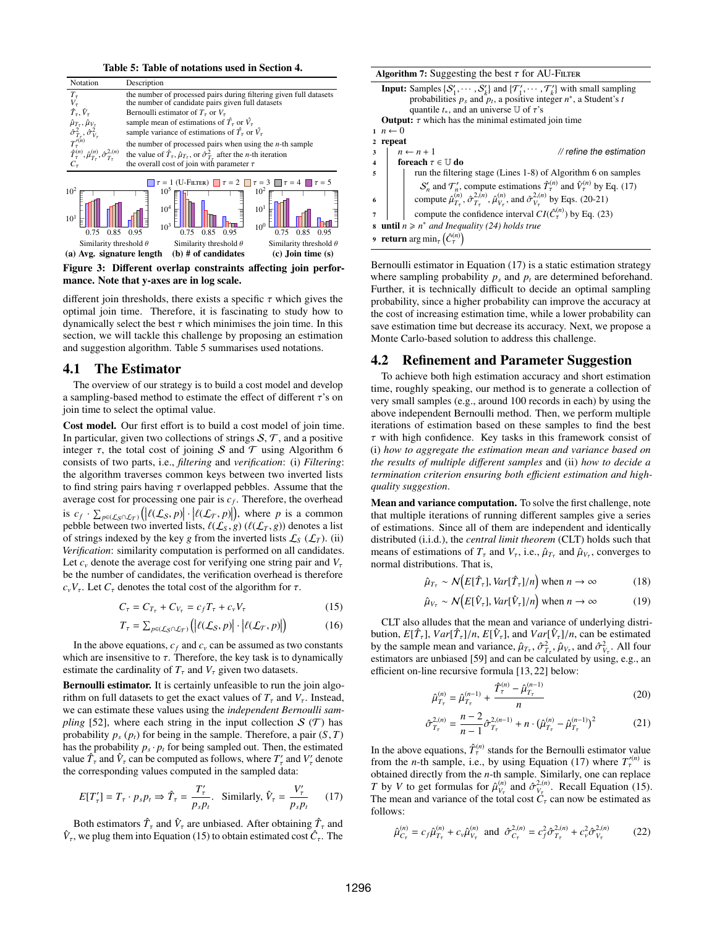Table 5: Table of notations used in Section [4.](#page-6-0)

<span id="page-7-1"></span><span id="page-7-0"></span>

Figure 3: Different overlap constraints affecting join performance. Note that y-axes are in log scale.

different join thresholds, there exists a specific  $\tau$  which gives the optimal join time. Therefore, it is fascinating to study how to dynamically select the best  $\tau$  which minimises the join time. In this section, we will tackle this challenge by proposing an estimation and suggestion algorithm. Table [5](#page-7-1) summarises used notations.

## 4.1 The Estimator

The overview of our strategy is to build a cost model and develop a sampling-based method to estimate the effect of different  $\tau$ 's on join time to select the optimal value.

Cost model. Our first effort is to build a cost model of join time. In particular, given two collections of strings  $S, \mathcal{T}$ , and a positive integer  $\tau$ , the total cost of joining S and T using Algorithm [6](#page-6-6) consists of two parts, i.e., *filtering* and *verification*: (i) *Filtering*: the algorithm traverses common keys between two inverted lists to find string pairs having  $\tau$  overlapped pebbles. Assume that the average cost for processing one pair is  $c_f$ . Therefore, the overhead is  $c_f \cdot \sum_{p \in (\mathcal{L}_S \cap \mathcal{L}_T)} (\big| \ell(\mathcal{L}_S, p) \big| \cdot \big| \ell(\mathcal{L}_T, p) \big|$ , where *p* is a common nebble between two inverted lists  $\ell(f, \varrho)$  ( $\ell(f, \varrho)$ ) denotes a list pebble between two inverted lists,  $\ell(\mathcal{L}_S, g)$  ( $\ell(\mathcal{L}_T, g)$ ) denotes a list of strings indexed by the key *g* from the inverted lists  $\mathcal{L}_S$  ( $\mathcal{L}_T$ ). (ii) *Verification*: similarity computation is performed on all candidates. Let  $c<sub>v</sub>$  denote the average cost for verifying one string pair and  $V<sub>\tau</sub>$ be the number of candidates, the verification overhead is therefore  $c_vV_\tau$ . Let  $C_\tau$  denotes the total cost of the algorithm for  $\tau$ .

$$
C_{\tau} = C_{T_{\tau}} + C_{V_{\tau}} = c_f T_{\tau} + c_v V_{\tau}
$$
\n
$$
\tag{15}
$$

$$
T_{\tau} = \sum_{p \in (\mathcal{L}_{\mathcal{S}} \cap \mathcal{L}_{\mathcal{T}})} \left( \left| \ell(\mathcal{L}_{\mathcal{S}}, p) \right| \cdot \left| \ell(\mathcal{L}_{\mathcal{T}}, p) \right| \right) \tag{16}
$$

In the above equations,  $c_f$  and  $c_v$  can be assumed as two constants which are insensitive to  $\tau$ . Therefore, the key task is to dynamically estimate the cardinality of  $T<sub>\tau</sub>$  and  $V<sub>\tau</sub>$  given two datasets.

Bernoulli estimator. It is certainly unfeasible to run the join algorithm on full datasets to get the exact values of  $T<sub>\tau</sub>$  and  $V<sub>\tau</sub>$ . Instead, we can estimate these values using the *independent Bernoulli sampling* [\[52\]](#page-13-10), where each string in the input collection  $S(T)$  has probability  $p_s(p_t)$  for being in the sample. Therefore, a pair  $(S, T)$ has the probability  $p_s \cdot p_t$  for being sampled out. Then, the estimated value  $\hat{T}_{\tau}$  and  $\hat{V}_{\tau}$  can be computed as follows, where  $T'_{\tau}$  and  $V'_{\tau}$  denote the corresponding values computed in the sampled data:

<span id="page-7-3"></span>
$$
E[T'_{\tau}] = T_{\tau} \cdot p_s p_t \Rightarrow \hat{T}_{\tau} = \frac{T'_{\tau}}{p_s p_t}. \quad \text{Similarly, } \hat{V}_{\tau} = \frac{V'_{\tau}}{p_s p_t} \qquad (17)
$$

Both estimators  $\hat{T}_{\tau}$  and  $\hat{V}_{\tau}$  are unbiased. After obtaining  $\hat{T}_{\tau}$  and  $\hat{V}_{\tau}$ , we plug them into Equation [\(15\)](#page-7-2) to obtain estimated cost  $\hat{C}_{\tau}$ . The

<span id="page-7-6"></span>Algorithm 7: Suggesting the best  $\tau$  for AU-Filter **Input:** Samples  $\{S'_1, \dots, S'_k\}$  and  $\{T'_1, \dots, T'_k\}$  with small sampling probabilities  $p_k$  and  $p_k$  a positive integer  $p^*$  a Student's t probabilities  $p_s$  and  $p_t$ , a positive integer  $n^*$ , a Student's *t* quantile  $t_*,$  and an universe  $\mathbb U$  of  $\tau$ 's **Output:**  $\tau$  which has the minimal estimated join time 1 *n* ← 0<br>2 **repeat** repeat  $3 \mid n \leftarrow n + 1$  // refine the estimation 4 **foreach**  $\tau \in \mathbb{U}$  do<br>5 run the filteri <sup>5</sup> run the filtering stage (Lines 1-8) of Algorithm [6](#page-6-6) on samples  $S'_n$  and  $\mathcal{T}'_n$ , compute estimations  $\hat{T}^{(n)}$  and  $\hat{V}^{(n)}$  by Eq. [\(17\)](#page-7-3) 6 compute  $\hat{\mu}_{T_{\tau}}^{(n)}, \hat{\sigma}_{T_{\tau}}^{2,(n)}, \hat{\mu}_{V_{\tau}}^{(n)},$  and  $\hat{\sigma}_{V_{\tau}}^{2,(n)}$  by Eqs. [\(20](#page-7-4)[-21\)](#page-7-5)  $7 \mid$  compute the confidence interval  $CI(\hat{C}^{(n)}_{\tau})$  by Eq. [\(23\)](#page-8-2)  $\textbf{s}$  **until** *n* ≥ *n*<sup>\*</sup> *and Inequality [\(24\)](#page-8-3) holds true* 9 **return**  $\arg \min_{\tau} \left( \hat{C}_{\tau}^{(n)} \right)$  $\binom{n}{\tau}$ 

Bernoulli estimator in Equation [\(17\)](#page-7-3) is a static estimation strategy where sampling probability  $p_s$  and  $p_t$  are determined beforehand. Further, it is technically difficult to decide an optimal sampling probability, since a higher probability can improve the accuracy at the cost of increasing estimation time, while a lower probability can save estimation time but decrease its accuracy. Next, we propose a Monte Carlo-based solution to address this challenge.

## 4.2 Refinement and Parameter Suggestion

To achieve both high estimation accuracy and short estimation time, roughly speaking, our method is to generate a collection of very small samples (e.g., around 100 records in each) by using the above independent Bernoulli method. Then, we perform multiple iterations of estimation based on these samples to find the best  $\tau$  with high confidence. Key tasks in this framework consist of (i) *how to aggregate the estimation mean and variance based on the results of multiple di*ff*erent samples* and (ii) *how to decide a termination criterion ensuring both e*ffi*cient estimation and highquality suggestion*.

Mean and variance computation. To solve the first challenge, note that multiple iterations of running different samples give a series of estimations. Since all of them are independent and identically distributed (i.i.d.), the *central limit theorem* (CLT) holds such that means of estimations of  $T_{\tau}$  and  $V_{\tau}$ , i.e.,  $\hat{\mu}_{T_{\tau}}$  and  $\hat{\mu}_{V_{\tau}}$ , converges to normal distributions. That is normal distributions. That is,

$$
\hat{\mu}_{T_{\tau}} \sim \mathcal{N}\big(E[\hat{T}_{\tau}], Var[\hat{T}_{\tau}]/n\big) \text{ when } n \to \infty \tag{18}
$$

$$
\hat{\mu}_{V_{\tau}} \sim \mathcal{N}\big(E[\hat{V}_{\tau}], Var[\hat{V}_{\tau}]/n\big) \text{ when } n \to \infty \tag{19}
$$

<span id="page-7-2"></span>CLT also alludes that the mean and variance of underlying distribution,  $E[\hat{T}_{\tau}]$ ,  $Var[\hat{T}_{\tau}]/n$ ,  $E[\hat{V}_{\tau}]$ , and  $Var[\hat{V}_{\tau}]/n$ , can be estimated<br>by the sample mean and variance  $\hat{\mu}_x = \hat{\sigma}^2 - \hat{\mu}_x$  and  $\hat{\sigma}^2 = 4$ ll four by the sample mean and variance,  $\hat{\mu}_{T_{\tau}}$ ,  $\hat{\sigma}_{T_{\tau}}^2$ ,  $\hat{\mu}_{V_{\tau}}$ , and  $\hat{\sigma}_{V_{\tau}}^2$ . All four estimators are unbiased [59] and can be calculated by using  $\epsilon$  g an *The sample mean and variance,*  $\mu_{T_{\tau}}$ ,  $\sigma_{T_{\tau}}$ ,  $\mu_{V_{\tau}}$ , and  $\sigma_{V_{\tau}}$ . An four estimators are unbiased [\[59\]](#page-13-11) and can be calculated by using, e.g., an efficient on-line recursive formula [\[13,](#page-12-25) [22\]](#page-12-26) below:

<span id="page-7-5"></span><span id="page-7-4"></span>
$$
\hat{\mu}_{T_{\tau}}^{(n)} = \hat{\mu}_{T_{\tau}}^{(n-1)} + \frac{\hat{T}_{\tau}^{(n)} - \hat{\mu}_{T_{\tau}}^{(n-1)}}{n}
$$
\n(20)

$$
\hat{\sigma}_{T_{\tau}}^{2,(n)} = \frac{n-2}{n-1} \hat{\sigma}_{T_{\tau}}^{2,(n-1)} + n \cdot (\hat{\mu}_{T_{\tau}}^{(n)} - \hat{\mu}_{T_{\tau}}^{(n-1)})^2 \tag{21}
$$

In the above equations,  $\hat{T}^{(n)}$  stands for the Bernoulli estimator value from the *n*-th sample, i.e., by using Equation [\(17\)](#page-7-3) where  $T_{\tau}^{(n)}$  is obtained directly from the *n*-th sample. Similarly, one can replace *T* by *V* to get formulas for  $\hat{\mu}_{V_{\tau}}^{(n)}$  and  $\hat{\sigma}_{V_{\tau}}^{2(n)}$ . Recall Equation [\(15\)](#page-7-2). The mean and variance of the total cost  $\hat{C}_\tau$  can now be estimated as  $f_{\text{allow}}$ follows:

$$
\hat{\mu}_{C_{\tau}}^{(n)} = c_f \hat{\mu}_{T_{\tau}}^{(n)} + c_v \hat{\mu}_{V_{\tau}}^{(n)} \text{ and } \hat{\sigma}_{C_{\tau}}^{2,(n)} = c_f^2 \hat{\sigma}_{T_{\tau}}^{2,(n)} + c_v^2 \hat{\sigma}_{V_{\tau}}^{2,(n)} \tag{22}
$$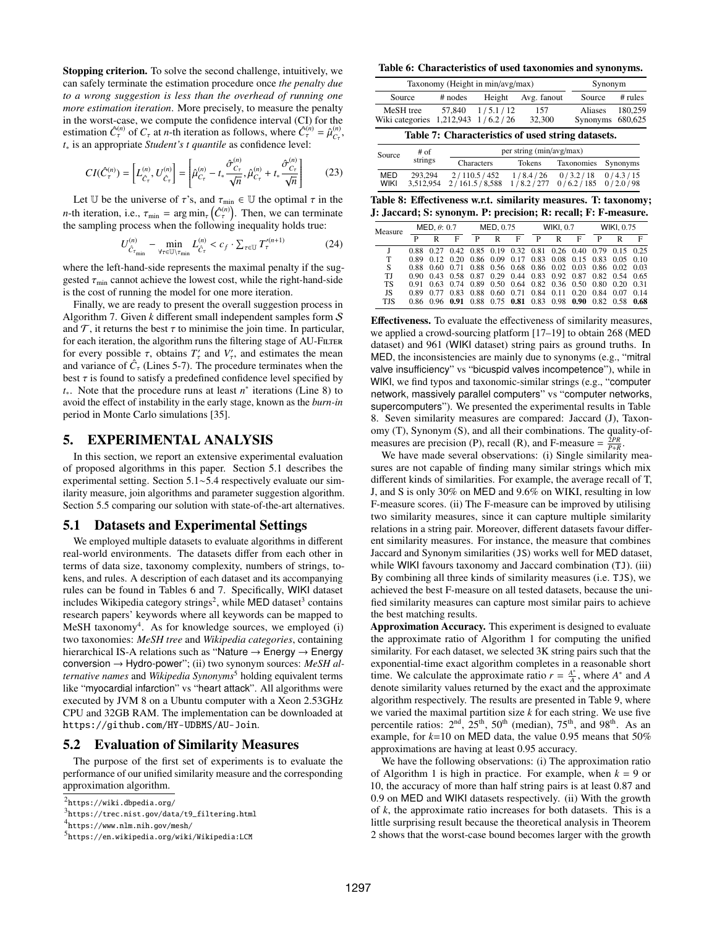Stopping criterion. To solve the second challenge, intuitively, we can safely terminate the estimation procedure once *the penalty due to a wrong suggestion is less than the overhead of running one more estimation iteration*. More precisely, to measure the penalty in the worst-case, we compute the confidence interval (CI) for the estimation  $\hat{C}_\tau^{(n)}$  of  $C_\tau$  at *n*-th iteration as follows, where  $\hat{C}_\tau^{(n)} = \hat{\mu}_{C_\tau}^{(n)}$ ,<br>*t* is an appropriate *Student's t quantile* as confidence level. *t*<sup>∗</sup> is an appropriate *Student's t quantile* as confidence level:

<span id="page-8-2"></span>
$$
CI(\hat{C}_{\tau}^{(n)}) = \left[ L_{\hat{C}_{\tau}}^{(n)}, U_{\hat{C}_{\tau}}^{(n)} \right] = \left[ \hat{\mu}_{C_{\tau}}^{(n)} - t_* \frac{\hat{\sigma}_{C_{\tau}}^{(n)}}{\sqrt{n}}, \hat{\mu}_{C_{\tau}}^{(n)} + t_* \frac{\hat{\sigma}_{C_{\tau}}^{(n)}}{\sqrt{n}} \right] \tag{23}
$$

Let U be the universe of  $\tau$ 's, and  $\tau_{\min} \in U$  the optimal  $\tau$  in the *n*-th iteration, i.e.,  $\tau_{min} = \arg min_{\tau} (\hat{C}_{\tau}^{(n)})$ . Then, we can terminate the sampling process when the following inequality holds true:

<span id="page-8-3"></span>
$$
U^{(n)}_{\hat{C}_{\tau_{\min}}} - \min_{\forall \tau \in \mathbb{U} \setminus \tau_{\min}} L^{(n)}_{\hat{C}_{\tau}} < c_f \cdot \sum_{\tau \in \mathbb{U}} T'^{(n+1)}_{\tau}
$$
 (24)

where the left-hand-side represents the maximal penalty if the suggested  $\tau_{\text{min}}$  cannot achieve the lowest cost, while the right-hand-side is the cost of running the model for one more iteration.

Finally, we are ready to present the overall suggestion process in Algorithm [7.](#page-7-6) Given *k* different small independent samples form S and  $\mathcal{T}$ , it returns the best  $\tau$  to minimise the join time. In particular, for each iteration, the algorithm runs the filtering stage of AU-FILTER for every possible  $\tau$ , obtains  $T'_{\tau}$  and  $V'_{\tau}$ , and estimates the mean<br>and variance of  $\hat{C}$  (Lines 5-7). The procedure terminates when the and variance of  $\hat{C}_\tau$  (Lines 5-7). The procedure terminates when the best  $\tau$  is found to satisfy a predefined confidence level specified by *t*<sub>∗</sub>. Note that the procedure runs at least *n*<sup>∗</sup> iterations (Line 8) to avoid the effect of instability in the early stage, known as the *burn-in* period in Monte Carlo simulations [\[35\]](#page-12-27).

## <span id="page-8-0"></span>5. EXPERIMENTAL ANALYSIS

In this section, we report an extensive experimental evaluation of proposed algorithms in this paper. Section 5.1 describes the experimental setting. Section 5.1∼5.4 respectively evaluate our similarity measure, join algorithms and parameter suggestion algorithm. Section 5.5 comparing our solution with state-of-the-art alternatives.

### 5.1 Datasets and Experimental Settings

We employed multiple datasets to evaluate algorithms in different real-world environments. The datasets differ from each other in terms of data size, taxonomy complexity, numbers of strings, tokens, and rules. A description of each dataset and its accompanying rules can be found in Tables [6](#page-8-1) and [7.](#page-8-1) Specifically, WIKI dataset includes Wikipedia category strings<sup>[2](#page-8-4)</sup>, while MED dataset<sup>[3](#page-8-5)</sup> contains research papers' keywords where all keywords can be mapped to MeSH taxonomy<sup>[4](#page-8-6)</sup>. As for knowledge sources, we employed (i) two taxonomies: *MeSH tree* and *Wikipedia categories*, containing hierarchical IS-A relations such as "Nature  $\rightarrow$  Energy  $\rightarrow$  Energy conversion → Hydro-power"; (ii) two synonym sources: *MeSH alternative names* and *Wikipedia Synonyms*[5](#page-8-7) holding equivalent terms like "myocardial infarction" vs "heart attack". All algorithms were executed by JVM 8 on a Ubuntu computer with a Xeon 2.53GHz CPU and 32GB RAM. The implementation can be downloaded at <https://github.com/HY-UDBMS/AU-Join>.

## 5.2 Evaluation of Similarity Measures

The purpose of the first set of experiments is to evaluate the performance of our unified similarity measure and the corresponding approximation algorithm.

<span id="page-8-1"></span>Table 6: Characteristics of used taxonomies and synonyms.

| Taxonomy (Height in min/avg/max)                  | Synonym   |                     |               |                             |           |  |  |  |  |
|---------------------------------------------------|-----------|---------------------|---------------|-----------------------------|-----------|--|--|--|--|
| Source                                            | $#$ nodes | Height              | Avg. fanout   | Source                      | $#$ rules |  |  |  |  |
| MeSH tree<br>Wiki categories 1,212,943 1/6.2/26   |           | $57,840$ $1/5.1/12$ | 157<br>32,300 | Aliases<br>Synonyms 680,625 | 180,259   |  |  |  |  |
| Table 7: Characteristics of used string datasets. |           |                     |               |                             |           |  |  |  |  |

| Source             | # of                 | per string (min/avg/max)     |                       |                                                 |          |  |  |  |  |
|--------------------|----------------------|------------------------------|-----------------------|-------------------------------------------------|----------|--|--|--|--|
|                    | strings              | Characters                   | Tokens                | Taxonomies                                      | Synonyms |  |  |  |  |
| MED<br><b>WIKI</b> | 293.294<br>3.512.954 | 2/110.5/452<br>2/161.5/8.588 | 1/8.4/26<br>1/8.2/277 | $0/3.2/18$ $0/4.3/15$<br>$0/6.2/185$ $0/2.0/98$ |          |  |  |  |  |

<span id="page-8-8"></span>Table 8: Effectiveness w.r.t. similarity measures. T: taxonomy; J: Jaccard; S: synonym. P: precision; R: recall; F: F-measure.

| Measure    |      | MED, $\theta$ : 0.7 |   |   | MED, 0.75 |                                                   |   | <b>WIKI, 0.7</b> |   |   | <b>WIKI, 0.75</b>                                           |      |  |
|------------|------|---------------------|---|---|-----------|---------------------------------------------------|---|------------------|---|---|-------------------------------------------------------------|------|--|
|            | P    | R                   | F | P | R         | F                                                 | P | R                | F | P | R                                                           | F    |  |
|            |      |                     |   |   |           |                                                   |   |                  |   |   | 0.88 0.27 0.42 0.85 0.19 0.32 0.81 0.26 0.40 0.79 0.15 0.25 |      |  |
| T          |      |                     |   |   |           |                                                   |   |                  |   |   | 0.89 0.12 0.20 0.86 0.09 0.17 0.83 0.08 0.15 0.83 0.05 0.10 |      |  |
| S          |      |                     |   |   |           |                                                   |   |                  |   |   | 0.88 0.60 0.71 0.88 0.56 0.68 0.86 0.02 0.03 0.86 0.02 0.03 |      |  |
| TJ         |      |                     |   |   |           |                                                   |   |                  |   |   | 0.90 0.43 0.58 0.87 0.29 0.44 0.83 0.92 0.87 0.82 0.54 0.65 |      |  |
| TS         | 0.91 |                     |   |   |           | 0.63 0.74 0.89 0.50 0.64 0.82 0.36 0.50 0.80 0.20 |   |                  |   |   |                                                             | 0.31 |  |
| JS         | 0.89 | 0.77                |   |   |           | 0.83 0.88 0.60 0.71 0.84 0.11 0.20 0.84 0.07      |   |                  |   |   |                                                             | 0.14 |  |
| <b>TJS</b> |      |                     |   |   |           |                                                   |   |                  |   |   | 0.86 0.96 0.91 0.88 0.75 0.81 0.83 0.98 0.90 0.82 0.58 0.68 |      |  |
|            |      |                     |   |   |           |                                                   |   |                  |   |   |                                                             |      |  |

Effectiveness. To evaluate the effectiveness of similarity measures, we applied a crowd-sourcing platform [\[17](#page-12-28)[–19\]](#page-12-29) to obtain 268 (MED dataset) and 961 (WIKI dataset) string pairs as ground truths. In MED, the inconsistencies are mainly due to synonyms (e.g., "mitral valve insufficiency" vs "bicuspid valves incompetence"), while in WIKI, we find typos and taxonomic-similar strings (e.g., "computer network, massively parallel computers" vs "computer networks, supercomputers"). We presented the experimental results in Table [8.](#page-8-8) Seven similarity measures are compared: Jaccard (J), Taxonomy (T), Synonym (S), and all their combinations. The quality-ofmeasures are precision (P), recall (R), and F-measure =  $\frac{2PR}{P+R}$ .

We have made several observations: (i) Single similarity measures are not capable of finding many similar strings which mix different kinds of similarities. For example, the average recall of T, J, and S is only 30% on MED and 9.6% on WIKI, resulting in low F-measure scores. (ii) The F-measure can be improved by utilising two similarity measures, since it can capture multiple similarity relations in a string pair. Moreover, different datasets favour different similarity measures. For instance, the measure that combines Jaccard and Synonym similarities (JS) works well for MED dataset, while WIKI favours taxonomy and Jaccard combination (TJ). (iii) By combining all three kinds of similarity measures (i.e. TJS), we achieved the best F-measure on all tested datasets, because the unified similarity measures can capture most similar pairs to achieve the best matching results.

Approximation Accuracy. This experiment is designed to evaluate the approximate ratio of Algorithm [1](#page-3-4) for computing the unified similarity. For each dataset, we selected 3K string pairs such that the exponential-time exact algorithm completes in a reasonable short time. We calculate the approximate ratio  $r = \frac{A^*}{4}$  $\frac{A^*}{A}$ , where  $A^*$  and  $A$ denote similarity values returned by the exact and the approximate algorithm respectively. The results are presented in Table [9,](#page-9-0) where we varied the maximal partition size *k* for each string. We use five percentile ratios:  $2<sup>nd</sup>$ ,  $25<sup>th</sup>$ ,  $50<sup>th</sup>$  (median),  $75<sup>th</sup>$ , and  $98<sup>th</sup>$ . As an example, for *k*=10 on MED data, the value 0.95 means that 50% approximations are having at least 0.95 accuracy.

We have the following observations: (i) The approximation ratio of Algorithm [1](#page-3-4) is high in practice. For example, when  $k = 9$  or 10, the accuracy of more than half string pairs is at least 0.87 and 0.9 on MED and WIKI datasets respectively. (ii) With the growth of *k*, the approximate ratio increases for both datasets. This is a little surprising result because the theoretical analysis in Theorem [2](#page-3-5) shows that the worst-case bound becomes larger with the growth

<span id="page-8-4"></span> $^2$ <https://wiki.dbpedia.org/>

<span id="page-8-5"></span> $^3$ [https://trec.nist.gov/data/t9\\_filtering.html](https://trec.nist.gov/data/t9_filtering.html)

<span id="page-8-6"></span><sup>4</sup> <https://www.nlm.nih.gov/mesh/>

<span id="page-8-7"></span><sup>&</sup>lt;sup>5</sup><https://en.wikipedia.org/wiki/Wikipedia:LCM>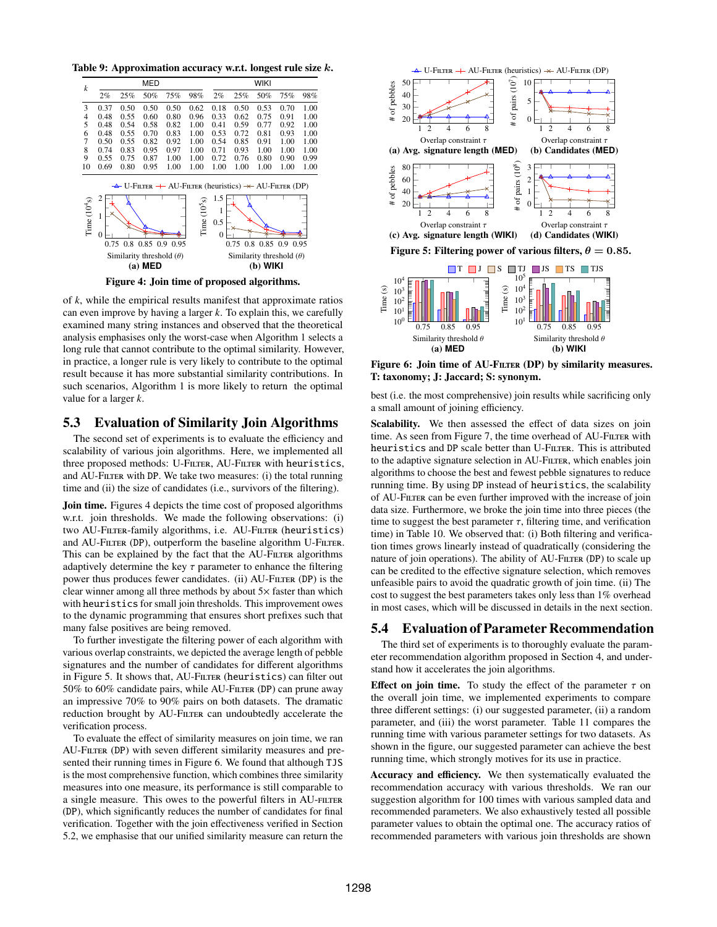<span id="page-9-0"></span>Table 9: Approximation accuracy w.r.t. longest rule size k.

<span id="page-9-1"></span>

Figure 4: Join time of proposed algorithms.

of *k*, while the empirical results manifest that approximate ratios can even improve by having a larger *k*. To explain this, we carefully examined many string instances and observed that the theoretical analysis emphasises only the worst-case when Algorithm [1](#page-3-4) selects a long rule that cannot contribute to the optimal similarity. However, in practice, a longer rule is very likely to contribute to the optimal result because it has more substantial similarity contributions. In such scenarios, Algorithm [1](#page-3-4) is more likely to return the optimal value for a larger *k*.

## 5.3 Evaluation of Similarity Join Algorithms

The second set of experiments is to evaluate the efficiency and scalability of various join algorithms. Here, we implemented all three proposed methods: U-FILTER, AU-FILTER with heuristics, and AU-FILTER with DP. We take two measures: (i) the total running time and (ii) the size of candidates (i.e., survivors of the filtering).

Join time. Figures [4](#page-9-1) depicts the time cost of proposed algorithms w.r.t. join thresholds. We made the following observations: (i) two AU-Filter-family algorithms, i.e. AU-Filter (heuristics) and AU-FILTER (DP), outperform the baseline algorithm U-FILTER. This can be explained by the fact that the AU-FILTER algorithms adaptively determine the key  $\tau$  parameter to enhance the filtering power thus produces fewer candidates. (ii) AU-FILTER (DP) is the clear winner among all three methods by about 5× faster than which with heuristics for small join thresholds. This improvement owes to the dynamic programming that ensures short prefixes such that many false positives are being removed.

To further investigate the filtering power of each algorithm with various overlap constraints, we depicted the average length of pebble signatures and the number of candidates for different algorithms in Figure [5.](#page-9-2) It shows that, AU-FILTER (heuristics) can filter out 50% to 60% candidate pairs, while AU-FILTER (DP) can prune away an impressive 70% to 90% pairs on both datasets. The dramatic reduction brought by AU-FILTER can undoubtedly accelerate the verification process.

To evaluate the effect of similarity measures on join time, we ran AU-FILTER (DP) with seven different similarity measures and presented their running times in Figure [6.](#page-9-3) We found that although TJS is the most comprehensive function, which combines three similarity measures into one measure, its performance is still comparable to a single measure. This owes to the powerful filters in AU-FILTER (DP), which significantly reduces the number of candidates for final verification. Together with the join effectiveness verified in Section 5.2, we emphasise that our unified similarity measure can return the

<span id="page-9-2"></span>

<span id="page-9-3"></span>Figure 6: Join time of AU-FILTER (DP) by similarity measures. T: taxonomy; J: Jaccard; S: synonym.

best (i.e. the most comprehensive) join results while sacrificing only a small amount of joining efficiency.

Scalability. We then assessed the effect of data sizes on join time. As seen from Figure [7,](#page-10-0) the time overhead of AU-FILTER with heuristics and DP scale better than U-FILTER. This is attributed to the adaptive signature selection in AU-FILTER, which enables join algorithms to choose the best and fewest pebble signatures to reduce running time. By using DP instead of heuristics, the scalability of AU-Filter can be even further improved with the increase of join data size. Furthermore, we broke the join time into three pieces (the time to suggest the best parameter  $\tau$ , filtering time, and verification time) in Table [10.](#page-10-1) We observed that: (i) Both filtering and verification times grows linearly instead of quadratically (considering the nature of join operations). The ability of AU-FILTER (DP) to scale up can be credited to the effective signature selection, which removes unfeasible pairs to avoid the quadratic growth of join time. (ii) The cost to suggest the best parameters takes only less than 1% overhead in most cases, which will be discussed in details in the next section.

# 5.4 Evaluation of Parameter Recommendation

The third set of experiments is to thoroughly evaluate the parameter recommendation algorithm proposed in Section [4,](#page-6-0) and understand how it accelerates the join algorithms.

Effect on join time. To study the effect of the parameter  $\tau$  on the overall join time, we implemented experiments to compare three different settings: (i) our suggested parameter, (ii) a random parameter, and (iii) the worst parameter. Table [11](#page-10-2) compares the running time with various parameter settings for two datasets. As shown in the figure, our suggested parameter can achieve the best running time, which strongly motives for its use in practice.

Accuracy and efficiency. We then systematically evaluated the recommendation accuracy with various thresholds. We ran our suggestion algorithm for 100 times with various sampled data and recommended parameters. We also exhaustively tested all possible parameter values to obtain the optimal one. The accuracy ratios of recommended parameters with various join thresholds are shown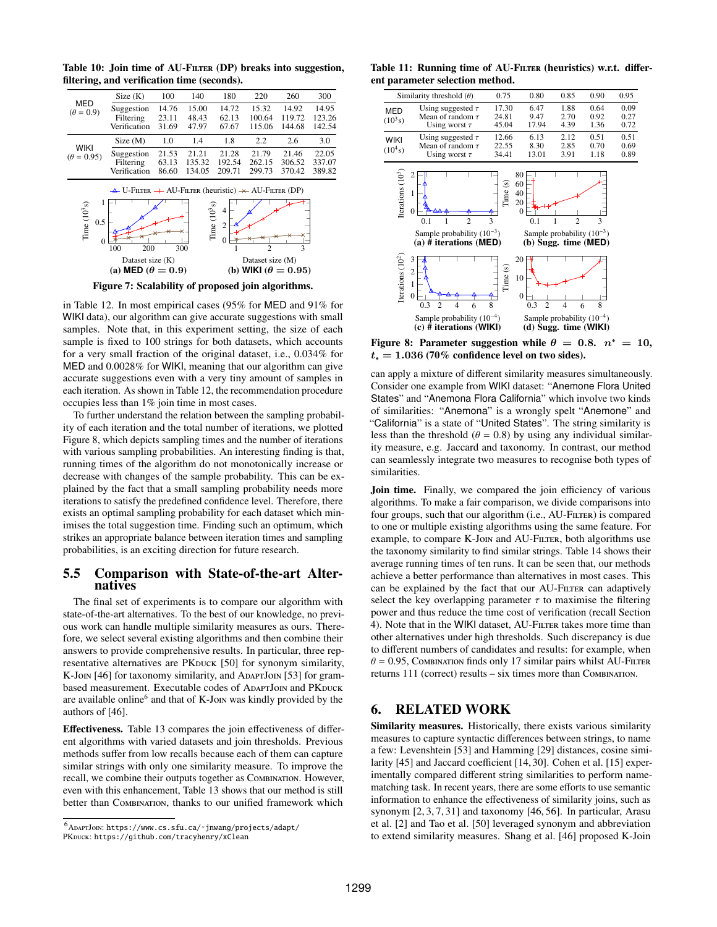<span id="page-10-0"></span>**MFD**  $(\theta = 0.9)$ Size (K) 100 140 180 220 260 300 Suggestion 14.76 15.00 14.72 15.32 14.92 14.95<br>Filtering 23.11 48.43 62.13 100.64 119.72 123.26 Filtering 23.11 48.43 62.13 100.64 119.72 123.26<br>
erification 31.69 47.97 67.67 115.06 144.68 142.54 Verification WIKI  $(\theta = 0.95)$ Size (M) 1.0 1.4 1.8 2.2 2.6 3.0 Suggestion 21.53 21.21 21.28 21.79 21.46 22.05<br>Filtering 63.13 135.32 192.54 262.15 306.52 337.07 Filtering 63.13 135.32 192.54 262.15 306.52 337.07<br>Verification 86.60 134.05 209.71 299.73 370.42 389.82 Verification 100 200 300  $\boldsymbol{0}$ 0.5 1 Dataset size (K) Time (10 3s) 1 2 3  $\Omega$ 2 4 Dataset size (M) Time (10 3s)  $\triangle$  U-Filter  $+$  AU-Filter (heuristic)  $\angle$  AU-Filter (DP) (a) **MED**  $(\theta = 0.9)$  (b) **WIKI**  $(\theta = 0.95)$ Figure 7: Scalability of proposed join algorithms.

<span id="page-10-1"></span>Table 10: Join time of AU-FILTER (DP) breaks into suggestion, filtering, and verification time (seconds).

in Table [12.](#page-11-0) In most empirical cases (95% for MED and 91% for WIKI data), our algorithm can give accurate suggestions with small samples. Note that, in this experiment setting, the size of each sample is fixed to 100 strings for both datasets, which accounts for a very small fraction of the original dataset, i.e., 0.034% for MED and 0.0028% for WIKI, meaning that our algorithm can give accurate suggestions even with a very tiny amount of samples in each iteration. As shown in Table [12,](#page-11-0) the recommendation procedure occupies less than 1% join time in most cases.

To further understand the relation between the sampling probability of each iteration and the total number of iterations, we plotted Figure [8,](#page-10-3) which depicts sampling times and the number of iterations with various sampling probabilities. An interesting finding is that, running times of the algorithm do not monotonically increase or decrease with changes of the sample probability. This can be explained by the fact that a small sampling probability needs more iterations to satisfy the predefined confidence level. Therefore, there exists an optimal sampling probability for each dataset which minimises the total suggestion time. Finding such an optimum, which strikes an appropriate balance between iteration times and sampling probabilities, is an exciting direction for future research.

## 5.5 Comparison with State-of-the-art Alternatives

The final set of experiments is to compare our algorithm with state-of-the-art alternatives. To the best of our knowledge, no previous work can handle multiple similarity measures as ours. Therefore, we select several existing algorithms and then combine their answers to provide comprehensive results. In particular, three rep-resentative alternatives are PKDUCK [\[50\]](#page-13-12) for synonym similarity, K-Join [\[46\]](#page-13-4) for taxonomy similarity, and AdaptJoin [\[53\]](#page-13-13) for grambased measurement. Executable codes of ADAPTJOIN and PKDUCK are available online<sup>[6](#page-10-4)</sup> and that of K-Join was kindly provided by the authors of [\[46\]](#page-13-4).

Effectiveness. Table [13](#page-11-1) compares the join effectiveness of different algorithms with varied datasets and join thresholds. Previous methods suffer from low recalls because each of them can capture similar strings with only one similarity measure. To improve the recall, we combine their outputs together as Combination. However, even with this enhancement, Table [13](#page-11-1) shows that our method is still better than COMBINATION, thanks to our unified framework which

<span id="page-10-2"></span>Table 11: Running time of AU-FILTER (heuristics) w.r.t. different parameter selection method.

<span id="page-10-3"></span>

|                           | Similarity threshold $(\theta)$                                                                                            | 0.75                    | 0.80                                                                                           | 0.85                           | 0.90                 | 0.95                 |
|---------------------------|----------------------------------------------------------------------------------------------------------------------------|-------------------------|------------------------------------------------------------------------------------------------|--------------------------------|----------------------|----------------------|
| <b>MED</b><br>$(10^3 s)$  | Using suggested $\tau$<br>Mean of random $\tau$<br>Using worst $\tau$                                                      | 17.30<br>24.81<br>45.04 | 6.47<br>9.47<br>17.94                                                                          | 1.88<br>2.70<br>4.39           | 0.64<br>0.92<br>1.36 | 0.09<br>0.27<br>0.72 |
| <b>WIKI</b><br>$(10^4 s)$ | Using suggested $\tau$<br>Mean of random $\tau$<br>Using worst $\tau$                                                      | 12.66<br>22.55<br>34.41 | 6.13<br>8.30<br>13.01                                                                          | 2.12<br>2.85<br>3.91           | 0.51<br>0.70<br>1.18 | 0.51<br>0.69<br>0.89 |
| Iterations $(103)$        | $\overline{2}$<br>1<br>$\overline{0}$<br>$\overline{c}$<br>0.1<br>Sample probability $(10^{-3})$<br>(a) # iterations (MED) | Time(s)<br>3            | 80<br>60<br>40<br>20<br>0<br>0.1<br>Sample probability $(10^{-3})$<br>$(b)$ Sugg. time $(MED)$ | $\overline{c}$                 | 3                    |                      |
| Iterations $(102)$        | 3<br>$\overline{c}$<br>$\mathbf{1}$<br>$\overline{0}$<br>0.3<br>$\overline{c}$<br>6<br>4                                   | Time(s)<br>8            | 20<br>10<br>$\overline{0}$<br>$\overline{c}$<br>0.3                                            | 4<br>6                         | 8                    |                      |
|                           | Sample probability $(10^{-4})$<br>$(c)$ # iterations (WIKI)                                                                |                         | (d) Sugg. time (WIKI)                                                                          | Sample probability $(10^{-4})$ |                      |                      |

Figure 8: Parameter suggestion while  $\theta = 0.8$ .  $n^* = 10$ ,  $t_* = 1.036$  (70% confidence level on two sides).

can apply a mixture of different similarity measures simultaneously. Consider one example from WIKI dataset: "Anemone Flora United States" and "Anemona Flora California" which involve two kinds of similarities: "Anemona" is a wrongly spelt "Anemone" and "California" is a state of "United States". The string similarity is less than the threshold ( $\theta = 0.8$ ) by using any individual similarity measure, e.g. Jaccard and taxonomy. In contrast, our method can seamlessly integrate two measures to recognise both types of similarities.

Join time. Finally, we compared the join efficiency of various algorithms. To make a fair comparison, we divide comparisons into four groups, such that our algorithm (i.e., AU-FILTER) is compared to one or multiple existing algorithms using the same feature. For example, to compare K-Join and AU-Filter, both algorithms use the taxonomy similarity to find similar strings. Table [14](#page-11-2) shows their average running times of ten runs. It can be seen that, our methods achieve a better performance than alternatives in most cases. This can be explained by the fact that our AU-FILTER can adaptively select the key overlapping parameter  $\tau$  to maximise the filtering power and thus reduce the time cost of verification (recall Section 4). Note that in the WIKI dataset, AU-FILTER takes more time than other alternatives under high thresholds. Such discrepancy is due to different numbers of candidates and results: for example, when  $\theta = 0.95$ , COMBINATION finds only 17 similar pairs whilst AU-FILTER returns 111 (correct) results – six times more than Combination.

## 6. RELATED WORK

Similarity measures. Historically, there exists various similarity measures to capture syntactic differences between strings, to name a few: Levenshtein [\[53\]](#page-13-13) and Hamming [\[29\]](#page-12-30) distances, cosine similarity [\[45\]](#page-13-1) and Jaccard coefficient [\[14,](#page-12-3) [30\]](#page-12-4). Cohen et al. [\[15\]](#page-12-31) experimentally compared different string similarities to perform namematching task. In recent years, there are some efforts to use semantic information to enhance the effectiveness of similarity joins, such as synonym [\[2,](#page-12-0) [3,](#page-12-32) [7,](#page-12-33) [31\]](#page-12-2) and taxonomy [\[46,](#page-13-4) [56\]](#page-13-7). In particular, Arasu et al. [\[2\]](#page-12-0) and Tao et al. [\[50\]](#page-13-12) leveraged synonym and abbreviation to extend similarity measures. Shang et al. [\[46\]](#page-13-4) proposed K-Join

<span id="page-10-4"></span> $^6$ ADAPTJOIN: https://www.cs.sfu.ca/~jnwang/projects/adapt/

PKDUCK: <https://github.com/tracyhenry/xClean>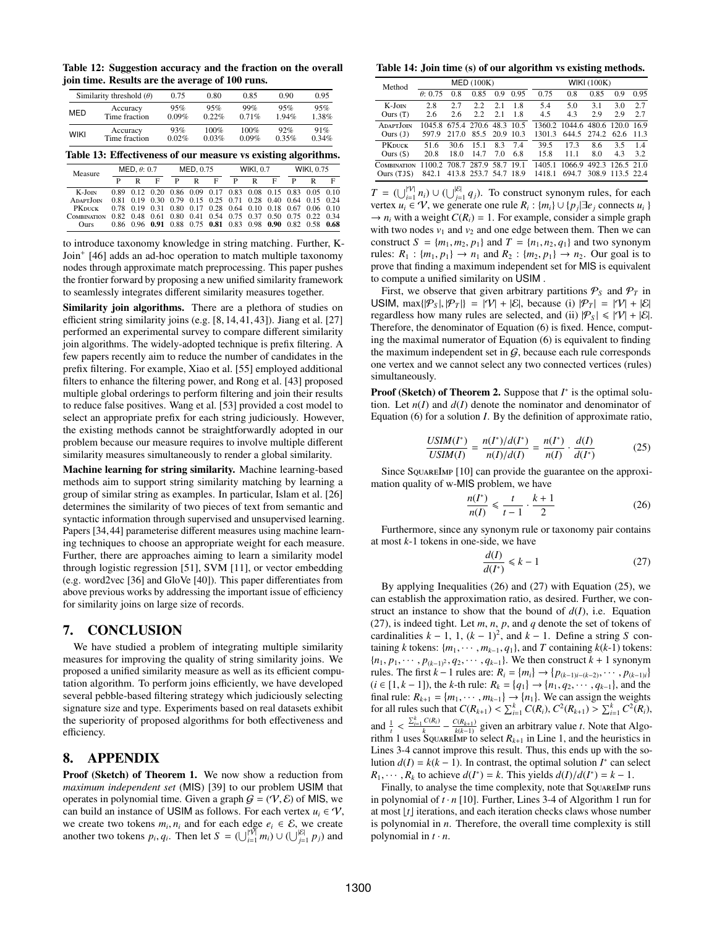<span id="page-11-0"></span>Table 12: Suggestion accuracy and the fraction on the overall join time. Results are the average of 100 runs.

| Similarity threshold $(\theta)$ |               | 0.75  | 0.80  | 0.85  | 0.90  | 0.95  |
|---------------------------------|---------------|-------|-------|-------|-------|-------|
| <b>MED</b>                      | Accuracy      | 95%   | 95%   | 99%   | 95%   | 95%   |
|                                 | Time fraction | 0.09% | 0.22% | 0.71% | 1.94% | 1.38% |
| <b>WIKI</b>                     | Accuracy      | 93%   | 100%  | 100%  | 92%   | 91%   |
|                                 | Time fraction | 0.02% | 0.03% | 0.09% | 0.35% | 0.34% |

<span id="page-11-1"></span>Table 13: Effectiveness of our measure vs existing algorithms.

| Measure         | MED, $\theta$ : 0.7 |  |   | MED, 0.75 |   |   | <b>WIKI, 0.7</b> |   |                                                             | <b>WIKI, 0.75</b> |   |  |
|-----------------|---------------------|--|---|-----------|---|---|------------------|---|-------------------------------------------------------------|-------------------|---|--|
|                 | P                   |  | F | P         | R | F | P                | R | F                                                           | P                 | R |  |
| K-JOIN          |                     |  |   |           |   |   |                  |   | 0.89 0.12 0.20 0.86 0.09 0.17 0.83 0.08 0.15 0.83 0.05 0.10 |                   |   |  |
| <b>ADAPTION</b> |                     |  |   |           |   |   |                  |   | 0.81 0.19 0.30 0.79 0.15 0.25 0.71 0.28 0.40 0.64 0.15 0.24 |                   |   |  |
| <b>PK</b> DUCK  |                     |  |   |           |   |   |                  |   | 0.78 0.19 0.31 0.80 0.17 0.28 0.64 0.10 0.18 0.67 0.06 0.10 |                   |   |  |
| COMBINATION     |                     |  |   |           |   |   |                  |   | 0.82 0.48 0.61 0.80 0.41 0.54 0.75 0.37 0.50 0.75 0.22 0.34 |                   |   |  |
| <b>Ours</b>     |                     |  |   |           |   |   |                  |   | 0.86 0.96 0.91 0.88 0.75 0.81 0.83 0.98 0.90 0.82 0.58 0.68 |                   |   |  |

to introduce taxonomy knowledge in string matching. Further, K-Join<sup>+</sup> [\[46\]](#page-13-4) adds an ad-hoc operation to match multiple taxonomy nodes through approximate match preprocessing. This paper pushes the frontier forward by proposing a new unified similarity framework to seamlessly integrates different similarity measures together.

Similarity join algorithms. There are a plethora of studies on efficient string similarity joins (e.g. [\[8,](#page-12-1) [14,](#page-12-3) [41,](#page-12-34) [43\]](#page-12-22)). Jiang et al. [\[27\]](#page-12-35) performed an experimental survey to compare different similarity join algorithms. The widely-adopted technique is prefix filtering. A few papers recently aim to reduce the number of candidates in the prefix filtering. For example, Xiao et al. [\[55\]](#page-13-0) employed additional filters to enhance the filtering power, and Rong et al. [\[43\]](#page-12-22) proposed multiple global orderings to perform filtering and join their results to reduce false positives. Wang et al. [\[53\]](#page-13-13) provided a cost model to select an appropriate prefix for each string judiciously. However, the existing methods cannot be straightforwardly adopted in our problem because our measure requires to involve multiple different similarity measures simultaneously to render a global similarity.

Machine learning for string similarity. Machine learning-based methods aim to support string similarity matching by learning a group of similar string as examples. In particular, Islam et al. [\[26\]](#page-12-36) determines the similarity of two pieces of text from semantic and syntactic information through supervised and unsupervised learning. Papers [\[34,](#page-12-37)[44\]](#page-13-14) parameterise different measures using machine learning techniques to choose an appropriate weight for each measure. Further, there are approaches aiming to learn a similarity model through logistic regression [\[51\]](#page-13-15), SVM [\[11\]](#page-12-38), or vector embedding (e.g. word2vec [\[36\]](#page-12-39) and GloVe [\[40\]](#page-12-40)). This paper differentiates from above previous works by addressing the important issue of efficiency for similarity joins on large size of records.

## 7. CONCLUSION

We have studied a problem of integrating multiple similarity measures for improving the quality of string similarity joins. We proposed a unified similarity measure as well as its efficient computation algorithm. To perform joins efficiently, we have developed several pebble-based filtering strategy which judiciously selecting signature size and type. Experiments based on real datasets exhibit the superiority of proposed algorithms for both effectiveness and efficiency.

## 8. APPENDIX

Proof (Sketch) of Theorem [1.](#page-2-6) We now show a reduction from *maximum independent set* (MIS) [\[39\]](#page-12-41) to our problem USIM that operates in polynomial time. Given a graph  $G = (V, \mathcal{E})$  of MIS, we can build an instance of USIM as follows. For each vertex  $u_i \in \mathcal{V}$ , we create two tokens  $m_i$ ,  $n_i$  and for each edge  $e_i \in \mathcal{E}$ , we create<br>another two tokens  $n_i$ ,  $a_i$ . Then let  $S = (||\mathbf{w}|| \mathbf{w}_i)||(|||\mathbf{w}_i|| \mathbf{w}_i)$  and another two tokens  $p_i, q_i$ . Then let  $S = (\bigcup_{i=1}^{|\mathcal{V}|} m_i) \cup (\bigcup_{j=1}^{|\mathcal{E}|} p_j)$  and

<span id="page-11-2"></span>Table 14: Join time (s) of our algorithm vs existing methods.

| Method                          | MED(100K)                                                   |              |                |            |            | <b>WIKI (100K)</b> |                                                    |            |                                      |            |
|---------------------------------|-------------------------------------------------------------|--------------|----------------|------------|------------|--------------------|----------------------------------------------------|------------|--------------------------------------|------------|
|                                 | $\theta$ : 0.75                                             | 0.8          | 0.85           | 0.9        | 0.95       | 0.75               | 0.8                                                | 0.85       | 0.9                                  | 0.95       |
| K-JOIN<br>Ours(T)               | 2.8<br>2.6                                                  | 2.7<br>2.6   | 2.2<br>2.2     | 2.1<br>2.1 | 1.8<br>1.8 | 5.4<br>4.5         | 5.0<br>4.3                                         | 3.1<br>2.9 | 3.0<br>2.9                           | 2.7<br>2.7 |
| ADAPT.JOIN<br>Ours $(1)$        | 1045.8 675.4 270.6 48.3 10.5<br>597.9                       | 217.0        | 85.5 20.9 10.3 |            |            | 1301.3             | 1360.2 1044.6 480.6 120.0 16.9<br>644.5 274.2 62.6 |            |                                      | 11.3       |
| <b>PK</b> DUCK<br>Ours $(S)$    | 51.6<br>20.8                                                | 30.6<br>18.0 | 15.1<br>14.7   | 8.3<br>7.0 | 74<br>6.8  | 39.5<br>15.8       | 17.3<br>11.1                                       | 8.6<br>8.0 | 3.5<br>4.3                           | 14<br>3.2  |
| <b>COMBINATION</b><br>Ours(TJS) | 1100.2 708.7 287.9 58.7 19.1<br>842.1 413.8 253.7 54.7 18.9 |              |                |            |            | 1405.1<br>1418.1   | 1066.9<br>694.7                                    |            | 492.3 126.5 21.0<br>308.9 113.5 22.4 |            |

*T* =  $\left(\bigcup_{i=1}^{|V|} n_i\right) \cup \left(\bigcup_{j=1}^{|E|} q_j\right)$ . To construct synonym rules, for each vertex  $u_i \in \mathcal{V}$ , we generate one rule  $R_i : \{m_i\} \cup \{p_j | \exists e_j \text{ connects } u_i \}$  $\rightarrow$  *n<sub>i</sub>* with a weight *C*(*R<sub>i</sub>*) = 1. For example, consider a simple graph with two nodes  $v_1$  and  $v_2$  and one edge between them. Then we can construct  $S = \{m_1, m_2, p_1\}$  and  $T = \{n_1, n_2, q_1\}$  and two synonym rules:  $R_1 : \{m_1, p_1\} \to n_1$  and  $R_2 : \{m_2, p_1\} \to n_2$ . Our goal is to prove that finding a maximum independent set for MIS is equivalent to compute a unified similarity on USIM .

First, we observe that given arbitrary partitions  $P<sub>S</sub>$  and  $P<sub>T</sub>$  in USIM,  $\max\{|\mathcal{P}_S|, |\mathcal{P}_T|\} = |\mathcal{V}| + |\mathcal{E}|$ , because (i)  $|\mathcal{P}_T| = |\mathcal{V}| + |\mathcal{E}|$ regardless how many rules are selected, and (ii)  $|\mathcal{P}_s| \leq |\mathcal{V}| + |\mathcal{E}|$ . Therefore, the denominator of Equation [\(6\)](#page-2-4) is fixed. Hence, computing the maximal numerator of Equation [\(6\)](#page-2-4) is equivalent to finding the maximum independent set in  $G$ , because each rule corresponds one vertex and we cannot select any two connected vertices (rules) simultaneously.

Proof (Sketch) of Theorem [2.](#page-3-5) Suppose that *I*<sup>∗</sup> is the optimal solution. Let  $n(I)$  and  $d(I)$  denote the nominator and denominator of Equation [\(6\)](#page-2-4) for a solution *I*. By the definition of approximate ratio,

<span id="page-11-5"></span>
$$
\frac{USIM(I^*)}{USIM(I)} = \frac{n(I^*)/d(I^*)}{n(I)/d(I)} = \frac{n(I^*)}{n(I)} \cdot \frac{d(I)}{d(I^*)}
$$
(25)

Since SquareImp [\[10\]](#page-12-18) can provide the guarantee on the approximation quality of w-MIS problem, we have

<span id="page-11-3"></span>
$$
\frac{n(I^*)}{n(I)} \leq \frac{t}{t-1} \cdot \frac{k+1}{2} \tag{26}
$$

Furthermore, since any synonym rule or taxonomy pair contains at most *k*-1 tokens in one-side, we have

<span id="page-11-4"></span>
$$
\frac{d(I)}{d(I^*)} \le k - 1\tag{27}
$$

By applying Inequalities [\(26\)](#page-11-3) and [\(27\)](#page-11-4) with Equation [\(25\)](#page-11-5), we can establish the approximation ratio, as desired. Further, we construct an instance to show that the bound of  $d(I)$ , i.e. Equation [\(27\)](#page-11-4), is indeed tight. Let *m*, *n*, *p*, and *q* denote the set of tokens of cardinalities  $k - 1$ , 1,  $(k - 1)^2$ , and  $k - 1$ . Define a string *S* containing *k* tokens:  $\{m_1, \dots, m_{k-1}, q_1\}$ , and *T* containing  $k(k-1)$  tokens:  ${n_1, p_1, \dots, p_{(k-1)^2}, q_2, \dots, q_{k-1}}$ . We then construct  $k+1$  synonym rules. The first  $k - 1$  rules are:  $R_i = \{m_i\} \rightarrow \{p_{(k-1)i-(k-2)}, \dots, p_{(k-1)i}\}\$ <br>  $(i \in [1 \mid k-1])$  the *k*-th rule:  $R_i = \{a_i\} \rightarrow \{p_i, q_2, \dots, q_{i-1}\}$  and the  $(i \in [1, k-1])$ , the *k*-th rule:  $R_k = \{q_1\} \rightarrow \{n_1, q_2, \dots, q_{k-1}\}$ , and the final rule:  $R_{i,j} = \{m_1, \dots, m_{i,j}\} \rightarrow \{n_j\}$ . We can assign the weights final rule:  $R_{k+1} = \{m_1, \dots, m_{k-1}\} \rightarrow \{n_1\}$ . We can assign the weights for all rules such that  $C(R_{k+1}) \le \sum_{k=1}^{k} C(R_{k+1}) \le \sum_{k=1}^{k} C^2(R_{k+1}) \le \sum_{k=1}^{k} C^2(R_{k+1})$ for all rules such that  $C(R_{k+1}) < \sum_{i=1}^{k} C(R_i), C^2(R_{k+1}) > \sum_{i=1}^{k} C^2(R_i),$ and  $\frac{1}{t}$ rithm [1](#page-3-4) uses SquareImp to select  $R_{k+1}$  in Line 1, and the heuristics in  $\sum_{i=1}^k C(R_i)$  $\frac{C(R_i)}{k} - \frac{C(R_{k+1})}{k(k-1)}$  given an arbitrary value *t*. Note that Algo-Lines 3-4 cannot improve this result. Thus, this ends up with the solution  $d(I) = k(k - 1)$ . In contrast, the optimal solution  $I^*$  can select  $R_1, \dots, R_k$  to achieve  $d(I^*) = k$ . This yields  $d(I)/d(I^*) = k - 1$ .<br>Finally to analyse the time complexity note that Souverlappe

Finally, to analyse the time complexity, note that SquareImp runs in polynomial of  $t \cdot n$  [\[10\]](#page-12-18). Further, Lines 3-4 of Algorithm [1](#page-3-4) run for at most  $\lfloor t \rfloor$  iterations, and each iteration checks claws whose number is polynomial in *n*. Therefore, the overall time complexity is still polynomial in  $t \cdot n$ .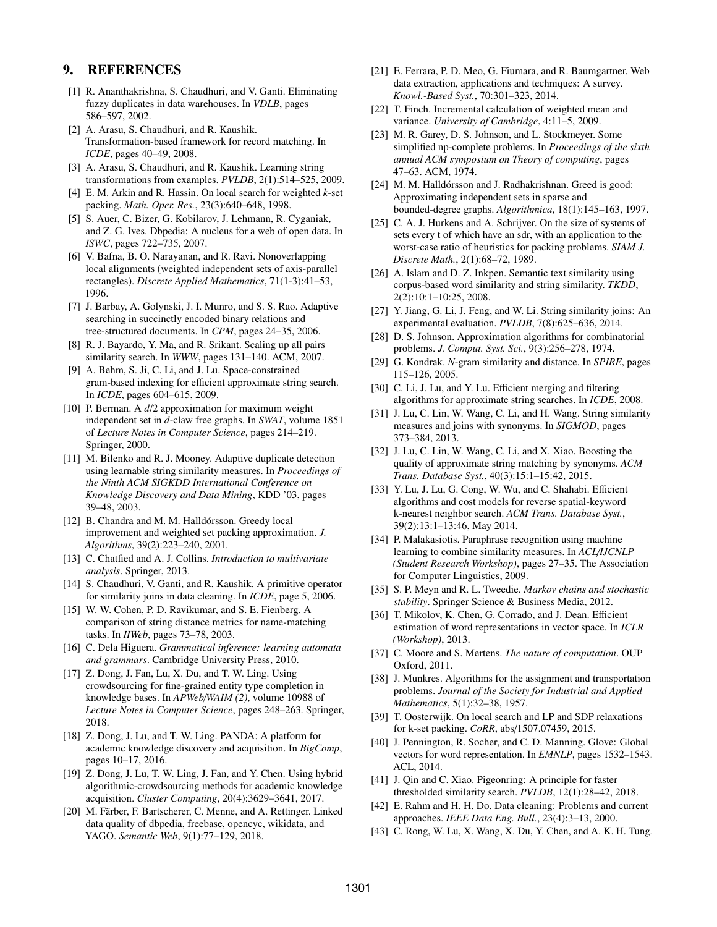# 9. REFERENCES

- <span id="page-12-9"></span>[1] R. Ananthakrishna, S. Chaudhuri, and V. Ganti. Eliminating fuzzy duplicates in data warehouses. In *VDLB*, pages 586–597, 2002.
- <span id="page-12-0"></span>[2] A. Arasu, S. Chaudhuri, and R. Kaushik. Transformation-based framework for record matching. In *ICDE*, pages 40–49, 2008.
- <span id="page-12-32"></span>[3] A. Arasu, S. Chaudhuri, and R. Kaushik. Learning string transformations from examples. *PVLDB*, 2(1):514–525, 2009.
- <span id="page-12-14"></span>[4] E. M. Arkin and R. Hassin. On local search for weighted *k*-set packing. *Math. Oper. Res.*, 23(3):640–648, 1998.
- <span id="page-12-7"></span>[5] S. Auer, C. Bizer, G. Kobilarov, J. Lehmann, R. Cyganiak, and Z. G. Ives. Dbpedia: A nucleus for a web of open data. In *ISWC*, pages 722–735, 2007.
- <span id="page-12-15"></span>[6] V. Bafna, B. O. Narayanan, and R. Ravi. Nonoverlapping local alignments (weighted independent sets of axis-parallel rectangles). *Discrete Applied Mathematics*, 71(1-3):41–53, 1996.
- <span id="page-12-33"></span>[7] J. Barbay, A. Golynski, J. I. Munro, and S. S. Rao. Adaptive searching in succinctly encoded binary relations and tree-structured documents. In *CPM*, pages 24–35, 2006.
- <span id="page-12-1"></span>[8] R. J. Bayardo, Y. Ma, and R. Srikant. Scaling up all pairs similarity search. In *WWW*, pages 131–140. ACM, 2007.
- <span id="page-12-5"></span>[9] A. Behm, S. Ji, C. Li, and J. Lu. Space-constrained gram-based indexing for efficient approximate string search. In *ICDE*, pages 604–615, 2009.
- <span id="page-12-18"></span>[10] P. Berman. A  $d/2$  approximation for maximum weight independent set in *d*-claw free graphs. In *SWAT*, volume 1851 of *Lecture Notes in Computer Science*, pages 214–219. Springer, 2000.
- <span id="page-12-38"></span>[11] M. Bilenko and R. J. Mooney. Adaptive duplicate detection using learnable string similarity measures. In *Proceedings of the Ninth ACM SIGKDD International Conference on Knowledge Discovery and Data Mining*, KDD '03, pages 39–48, 2003.
- <span id="page-12-21"></span>[12] B. Chandra and M. M. Halldórsson. Greedy local improvement and weighted set packing approximation. *J. Algorithms*, 39(2):223–240, 2001.
- <span id="page-12-25"></span>[13] C. Chatfied and A. J. Collins. *Introduction to multivariate analysis*. Springer, 2013.
- <span id="page-12-3"></span>[14] S. Chaudhuri, V. Ganti, and R. Kaushik. A primitive operator for similarity joins in data cleaning. In *ICDE*, page 5, 2006.
- <span id="page-12-31"></span>[15] W. W. Cohen, P. D. Ravikumar, and S. E. Fienberg. A comparison of string distance metrics for name-matching tasks. In *IIWeb*, pages 73–78, 2003.
- <span id="page-12-17"></span>[16] C. Dela Higuera. *Grammatical inference: learning automata and grammars*. Cambridge University Press, 2010.
- <span id="page-12-28"></span>[17] Z. Dong, J. Fan, Lu, X. Du, and T. W. Ling. Using crowdsourcing for fine-grained entity type completion in knowledge bases. In *APWeb*/*WAIM (2)*, volume 10988 of *Lecture Notes in Computer Science*, pages 248–263. Springer, 2018.
- [18] Z. Dong, J. Lu, and T. W. Ling. PANDA: A platform for academic knowledge discovery and acquisition. In *BigComp*, pages 10–17, 2016.
- <span id="page-12-29"></span>[19] Z. Dong, J. Lu, T. W. Ling, J. Fan, and Y. Chen. Using hybrid algorithmic-crowdsourcing methods for academic knowledge acquisition. *Cluster Computing*, 20(4):3629–3641, 2017.
- <span id="page-12-8"></span>[20] M. Färber, F. Bartscherer, C. Menne, and A. Rettinger. Linked data quality of dbpedia, freebase, opencyc, wikidata, and YAGO. *Semantic Web*, 9(1):77–129, 2018.
- <span id="page-12-10"></span>[21] E. Ferrara, P. D. Meo, G. Fiumara, and R. Baumgartner. Web data extraction, applications and techniques: A survey. *Knowl.-Based Syst.*, 70:301–323, 2014.
- <span id="page-12-26"></span>[22] T. Finch. Incremental calculation of weighted mean and variance. *University of Cambridge*, 4:11–5, 2009.
- <span id="page-12-24"></span>[23] M. R. Garey, D. S. Johnson, and L. Stockmeyer. Some simplified np-complete problems. In *Proceedings of the sixth annual ACM symposium on Theory of computing*, pages 47–63. ACM, 1974.
- <span id="page-12-19"></span>[24] M. M. Halldórsson and J. Radhakrishnan. Greed is good: Approximating independent sets in sparse and bounded-degree graphs. *Algorithmica*, 18(1):145–163, 1997.
- <span id="page-12-16"></span>[25] C. A. J. Hurkens and A. Schrijver. On the size of systems of sets every t of which have an sdr, with an application to the worst-case ratio of heuristics for packing problems. *SIAM J. Discrete Math.*, 2(1):68–72, 1989.
- <span id="page-12-36"></span>[26] A. Islam and D. Z. Inkpen. Semantic text similarity using corpus-based word similarity and string similarity. *TKDD*, 2(2):10:1–10:25, 2008.
- <span id="page-12-35"></span>[27] Y. Jiang, G. Li, J. Feng, and W. Li. String similarity joins: An experimental evaluation. *PVLDB*, 7(8):625–636, 2014.
- <span id="page-12-23"></span>[28] D. S. Johnson. Approximation algorithms for combinatorial problems. *J. Comput. Syst. Sci.*, 9(3):256–278, 1974.
- <span id="page-12-30"></span>[29] G. Kondrak. *N*-gram similarity and distance. In *SPIRE*, pages 115–126, 2005.
- <span id="page-12-4"></span>[30] C. Li, J. Lu, and Y. Lu. Efficient merging and filtering algorithms for approximate string searches. In *ICDE*, 2008.
- <span id="page-12-2"></span>[31] J. Lu, C. Lin, W. Wang, C. Li, and H. Wang. String similarity measures and joins with synonyms. In *SIGMOD*, pages 373–384, 2013.
- <span id="page-12-6"></span>[32] J. Lu, C. Lin, W. Wang, C. Li, and X. Xiao. Boosting the quality of approximate string matching by synonyms. *ACM Trans. Database Syst.*, 40(3):15:1–15:42, 2015.
- <span id="page-12-11"></span>[33] Y. Lu, J. Lu, G. Cong, W. Wu, and C. Shahabi. Efficient algorithms and cost models for reverse spatial-keyword k-nearest neighbor search. *ACM Trans. Database Syst.*, 39(2):13:1–13:46, May 2014.
- <span id="page-12-37"></span>[34] P. Malakasiotis. Paraphrase recognition using machine learning to combine similarity measures. In *ACL*/*IJCNLP (Student Research Workshop)*, pages 27–35. The Association for Computer Linguistics, 2009.
- <span id="page-12-27"></span>[35] S. P. Meyn and R. L. Tweedie. *Markov chains and stochastic stability*. Springer Science & Business Media, 2012.
- <span id="page-12-39"></span>[36] T. Mikolov, K. Chen, G. Corrado, and J. Dean. Efficient estimation of word representations in vector space. In *ICLR (Workshop)*, 2013.
- <span id="page-12-20"></span>[37] C. Moore and S. Mertens. *The nature of computation*. OUP Oxford, 2011.
- <span id="page-12-13"></span>[38] J. Munkres. Algorithms for the assignment and transportation problems. *Journal of the Society for Industrial and Applied Mathematics*, 5(1):32–38, 1957.
- <span id="page-12-41"></span>[39] T. Oosterwijk. On local search and LP and SDP relaxations for k-set packing. *CoRR*, abs/1507.07459, 2015.
- <span id="page-12-40"></span>[40] J. Pennington, R. Socher, and C. D. Manning. Glove: Global vectors for word representation. In *EMNLP*, pages 1532–1543. ACL, 2014.
- <span id="page-12-34"></span>[41] J. Qin and C. Xiao. Pigeonring: A principle for faster thresholded similarity search. *PVLDB*, 12(1):28–42, 2018.
- <span id="page-12-12"></span>[42] E. Rahm and H. H. Do. Data cleaning: Problems and current approaches. *IEEE Data Eng. Bull.*, 23(4):3–13, 2000.
- <span id="page-12-22"></span>[43] C. Rong, W. Lu, X. Wang, X. Du, Y. Chen, and A. K. H. Tung.